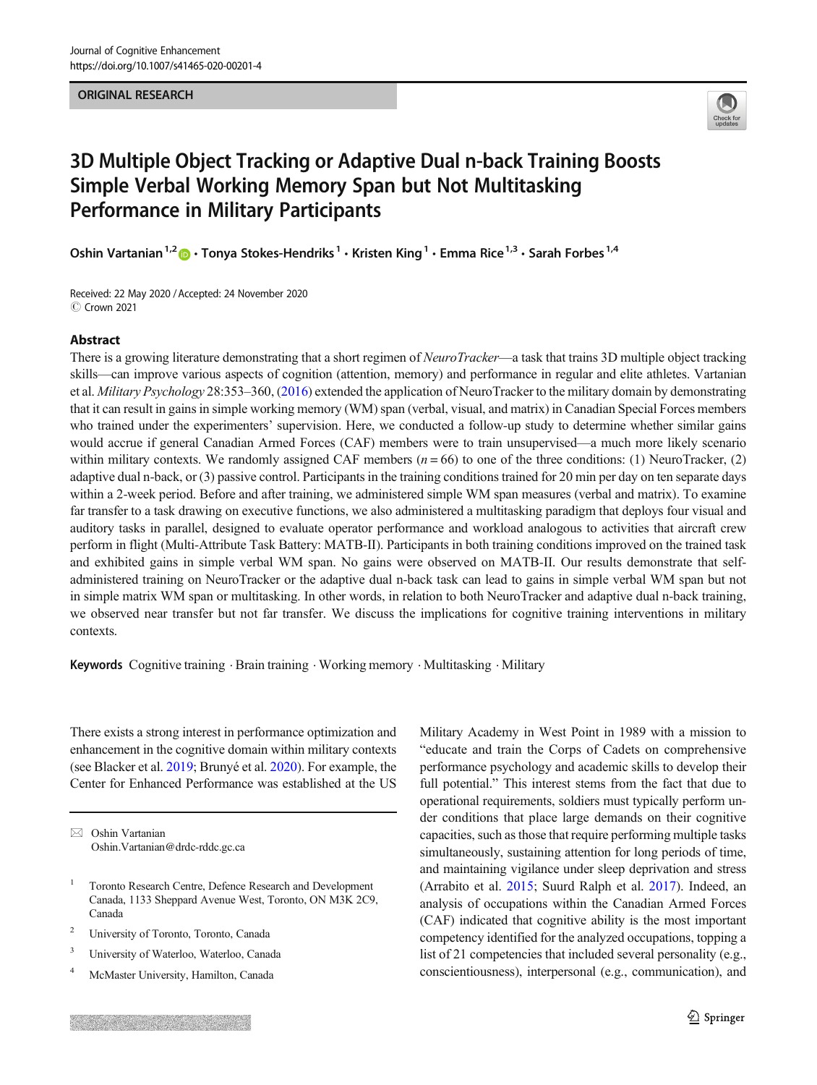#### ORIGINAL RESEARCH



# 3D Multiple Object Tracking or Adaptive Dual n-back Training Boosts Simple Verbal Working Memory Span but Not Multitasking Performance in Military Participants

Oshin Vartanian<sup>1,2</sup>  $\bullet$  · Tonya Stokes-Hendriks<sup>1</sup> · Kristen King<sup>1</sup> · Emma Rice<sup>1,3</sup> · Sarah Forbes<sup>1,4</sup>

Received: 22 May 2020 / Accepted: 24 November 2020 C Crown 2021

## Abstract

There is a growing literature demonstrating that a short regimen of *NeuroTracker*—a task that trains 3D multiple object tracking skills—can improve various aspects of cognition (attention, memory) and performance in regular and elite athletes. Vartanian et al. Military Psychology 28:353–360, [\(2016\)](#page-15-0) extended the application of NeuroTracker to the military domain by demonstrating that it can result in gains in simple working memory (WM) span (verbal, visual, and matrix) in Canadian Special Forces members who trained under the experimenters' supervision. Here, we conducted a follow-up study to determine whether similar gains would accrue if general Canadian Armed Forces (CAF) members were to train unsupervised—a much more likely scenario within military contexts. We randomly assigned CAF members  $(n = 66)$  to one of the three conditions: (1) NeuroTracker, (2) adaptive dual n-back, or (3) passive control. Participants in the training conditions trained for 20 min per day on ten separate days within a 2-week period. Before and after training, we administered simple WM span measures (verbal and matrix). To examine far transfer to a task drawing on executive functions, we also administered a multitasking paradigm that deploys four visual and auditory tasks in parallel, designed to evaluate operator performance and workload analogous to activities that aircraft crew perform in flight (Multi-Attribute Task Battery: MATB-II). Participants in both training conditions improved on the trained task and exhibited gains in simple verbal WM span. No gains were observed on MATB-II. Our results demonstrate that selfadministered training on NeuroTracker or the adaptive dual n-back task can lead to gains in simple verbal WM span but not in simple matrix WM span or multitasking. In other words, in relation to both NeuroTracker and adaptive dual n-back training, we observed near transfer but not far transfer. We discuss the implications for cognitive training interventions in military contexts.

Keywords Cognitive training · Brain training · Working memory · Multitasking · Military

There exists a strong interest in performance optimization and enhancement in the cognitive domain within military contexts (see Blacker et al. [2019;](#page-14-0) Brunyé et al. [2020\)](#page-14-0). For example, the Center for Enhanced Performance was established at the US

 $\boxtimes$  Oshin Vartanian [Oshin.Vartanian@drdc-rddc.gc.ca](mailto:Oshin.Vartanian@drdc-rddc.gc.ca)

- <sup>2</sup> University of Toronto, Toronto, Canada
- <sup>3</sup> University of Waterloo, Waterloo, Canada
- <sup>4</sup> McMaster University, Hamilton, Canada

Military Academy in West Point in 1989 with a mission to "educate and train the Corps of Cadets on comprehensive performance psychology and academic skills to develop their full potential." This interest stems from the fact that due to operational requirements, soldiers must typically perform under conditions that place large demands on their cognitive capacities, such as those that require performing multiple tasks simultaneously, sustaining attention for long periods of time, and maintaining vigilance under sleep deprivation and stress (Arrabito et al. [2015](#page-14-0); Suurd Ralph et al. [2017](#page-15-0)). Indeed, an analysis of occupations within the Canadian Armed Forces (CAF) indicated that cognitive ability is the most important competency identified for the analyzed occupations, topping a list of 21 competencies that included several personality (e.g., conscientiousness), interpersonal (e.g., communication), and

<sup>1</sup> Toronto Research Centre, Defence Research and Development Canada, 1133 Sheppard Avenue West, Toronto, ON M3K 2C9, Canada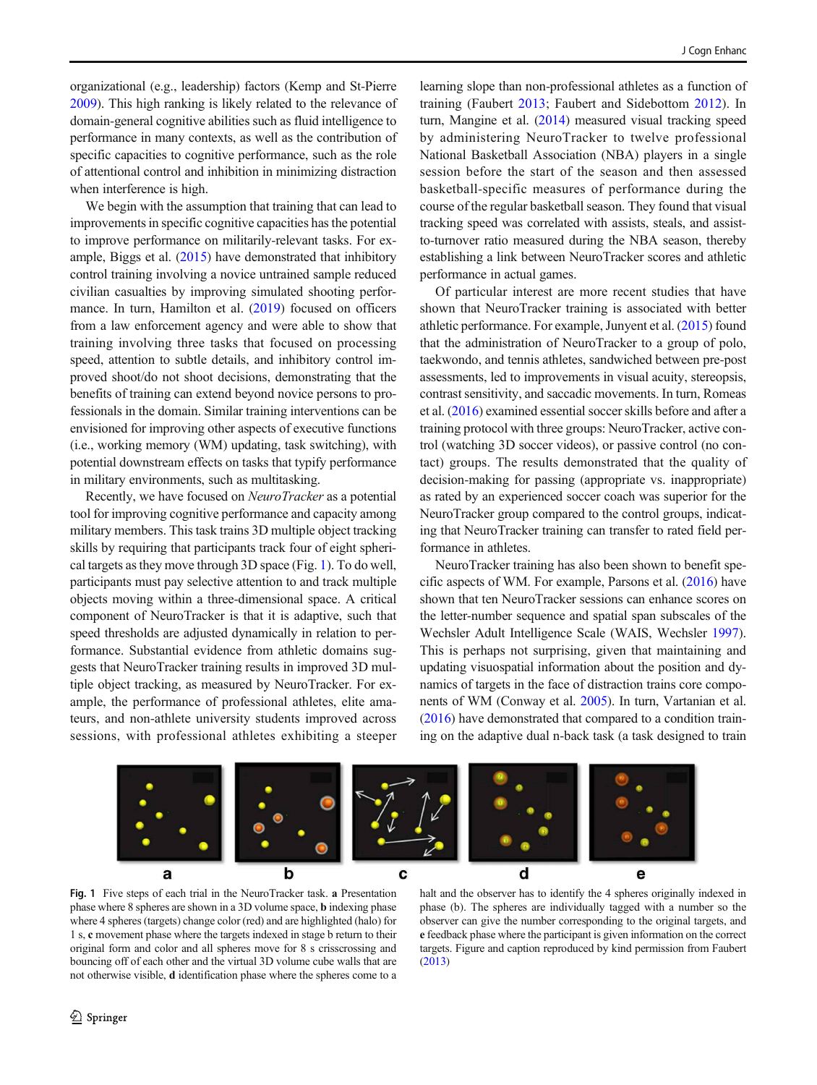organizational (e.g., leadership) factors (Kemp and St-Pierre [2009\)](#page-15-0). This high ranking is likely related to the relevance of domain-general cognitive abilities such as fluid intelligence to performance in many contexts, as well as the contribution of specific capacities to cognitive performance, such as the role of attentional control and inhibition in minimizing distraction when interference is high.

We begin with the assumption that training that can lead to improvements in specific cognitive capacities has the potential to improve performance on militarily-relevant tasks. For example, Biggs et al. [\(2015\)](#page-14-0) have demonstrated that inhibitory control training involving a novice untrained sample reduced civilian casualties by improving simulated shooting performance. In turn, Hamilton et al. ([2019\)](#page-14-0) focused on officers from a law enforcement agency and were able to show that training involving three tasks that focused on processing speed, attention to subtle details, and inhibitory control improved shoot/do not shoot decisions, demonstrating that the benefits of training can extend beyond novice persons to professionals in the domain. Similar training interventions can be envisioned for improving other aspects of executive functions (i.e., working memory (WM) updating, task switching), with potential downstream effects on tasks that typify performance in military environments, such as multitasking.

Recently, we have focused on NeuroTracker as a potential tool for improving cognitive performance and capacity among military members. This task trains 3D multiple object tracking skills by requiring that participants track four of eight spherical targets as they move through 3D space (Fig. 1). To do well, participants must pay selective attention to and track multiple objects moving within a three-dimensional space. A critical component of NeuroTracker is that it is adaptive, such that speed thresholds are adjusted dynamically in relation to performance. Substantial evidence from athletic domains suggests that NeuroTracker training results in improved 3D multiple object tracking, as measured by NeuroTracker. For example, the performance of professional athletes, elite amateurs, and non-athlete university students improved across sessions, with professional athletes exhibiting a steeper

learning slope than non-professional athletes as a function of training (Faubert [2013](#page-14-0); Faubert and Sidebottom [2012](#page-14-0)). In turn, Mangine et al. ([2014](#page-15-0)) measured visual tracking speed by administering NeuroTracker to twelve professional National Basketball Association (NBA) players in a single session before the start of the season and then assessed basketball-specific measures of performance during the course of the regular basketball season. They found that visual tracking speed was correlated with assists, steals, and assistto-turnover ratio measured during the NBA season, thereby establishing a link between NeuroTracker scores and athletic performance in actual games.

Of particular interest are more recent studies that have shown that NeuroTracker training is associated with better athletic performance. For example, Junyent et al. ([2015](#page-15-0)) found that the administration of NeuroTracker to a group of polo, taekwondo, and tennis athletes, sandwiched between pre-post assessments, led to improvements in visual acuity, stereopsis, contrast sensitivity, and saccadic movements. In turn, Romeas et al. [\(2016](#page-15-0)) examined essential soccer skills before and after a training protocol with three groups: NeuroTracker, active control (watching 3D soccer videos), or passive control (no contact) groups. The results demonstrated that the quality of decision-making for passing (appropriate vs. inappropriate) as rated by an experienced soccer coach was superior for the NeuroTracker group compared to the control groups, indicating that NeuroTracker training can transfer to rated field performance in athletes.

NeuroTracker training has also been shown to benefit specific aspects of WM. For example, Parsons et al. ([2016](#page-15-0)) have shown that ten NeuroTracker sessions can enhance scores on the letter-number sequence and spatial span subscales of the Wechsler Adult Intelligence Scale (WAIS, Wechsler [1997\)](#page-15-0). This is perhaps not surprising, given that maintaining and updating visuospatial information about the position and dynamics of targets in the face of distraction trains core components of WM (Conway et al. [2005\)](#page-14-0). In turn, Vartanian et al. [\(2016\)](#page-15-0) have demonstrated that compared to a condition training on the adaptive dual n-back task (a task designed to train



Fig. 1 Five steps of each trial in the NeuroTracker task. a Presentation phase where 8 spheres are shown in a 3D volume space, b indexing phase where 4 spheres (targets) change color (red) and are highlighted (halo) for 1 s, c movement phase where the targets indexed in stage b return to their original form and color and all spheres move for 8 s crisscrossing and bouncing off of each other and the virtual 3D volume cube walls that are not otherwise visible, d identification phase where the spheres come to a

halt and the observer has to identify the 4 spheres originally indexed in phase (b). The spheres are individually tagged with a number so the observer can give the number corresponding to the original targets, and e feedback phase where the participant is given information on the correct targets. Figure and caption reproduced by kind permission from Faubert ([2013](#page-14-0))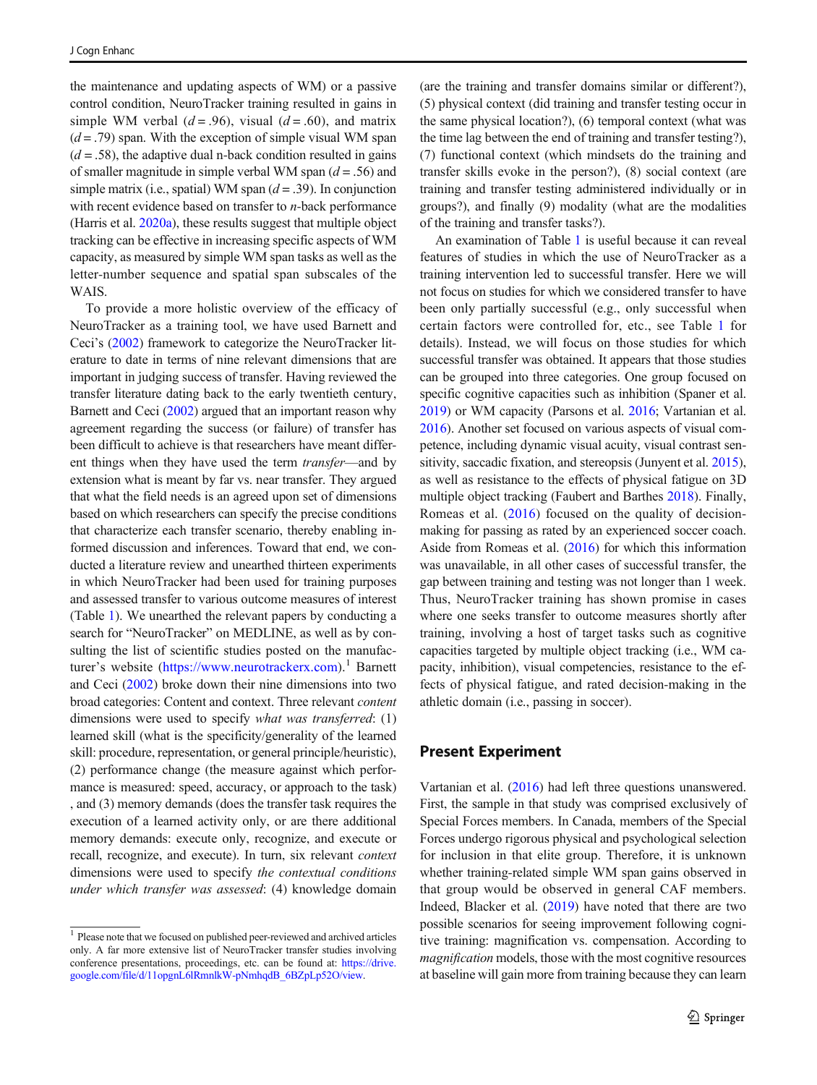the maintenance and updating aspects of WM) or a passive control condition, NeuroTracker training resulted in gains in simple WM verbal ( $d = .96$ ), visual ( $d = .60$ ), and matrix  $(d = .79)$  span. With the exception of simple visual WM span  $(d = .58)$ , the adaptive dual n-back condition resulted in gains of smaller magnitude in simple verbal WM span  $(d = .56)$  and simple matrix (i.e., spatial) WM span  $(d = .39)$ . In conjunction with recent evidence based on transfer to *n*-back performance (Harris et al. [2020a](#page-14-0)), these results suggest that multiple object tracking can be effective in increasing specific aspects of WM capacity, as measured by simple WM span tasks as well as the letter-number sequence and spatial span subscales of the WAIS.

To provide a more holistic overview of the efficacy of NeuroTracker as a training tool, we have used Barnett and Ceci's ([2002](#page-14-0)) framework to categorize the NeuroTracker literature to date in terms of nine relevant dimensions that are important in judging success of transfer. Having reviewed the transfer literature dating back to the early twentieth century, Barnett and Ceci ([2002](#page-14-0)) argued that an important reason why agreement regarding the success (or failure) of transfer has been difficult to achieve is that researchers have meant different things when they have used the term transfer—and by extension what is meant by far vs. near transfer. They argued that what the field needs is an agreed upon set of dimensions based on which researchers can specify the precise conditions that characterize each transfer scenario, thereby enabling informed discussion and inferences. Toward that end, we conducted a literature review and unearthed thirteen experiments in which NeuroTracker had been used for training purposes and assessed transfer to various outcome measures of interest (Table 1). We unearthed the relevant papers by conducting a search for "NeuroTracker" on MEDLINE, as well as by consulting the list of scientific studies posted on the manufacturer's website (<https://www.neurotrackerx.com>).<sup>1</sup> Barnett and Ceci [\(2002\)](#page-14-0) broke down their nine dimensions into two broad categories: Content and context. Three relevant content dimensions were used to specify what was transferred: (1) learned skill (what is the specificity/generality of the learned skill: procedure, representation, or general principle/heuristic), (2) performance change (the measure against which performance is measured: speed, accuracy, or approach to the task) , and (3) memory demands (does the transfer task requires the execution of a learned activity only, or are there additional memory demands: execute only, recognize, and execute or recall, recognize, and execute). In turn, six relevant context dimensions were used to specify the contextual conditions under which transfer was assessed: (4) knowledge domain

<sup>1</sup> Please note that we focused on published peer-reviewed and archived articles only. A far more extensive list of NeuroTracker transfer studies involving conference presentations, proceedings, etc. can be found at: [https://drive.](https://drive.google.com/file/d/11opgnL6lRmnlkW-pNmhqdB_6BZpLp52O/view) [google.com/file/d/11opgnL6lRmnlkW-pNmhqdB\\_6BZpLp52O/view.](https://drive.google.com/file/d/11opgnL6lRmnlkW-pNmhqdB_6BZpLp52O/view)

(are the training and transfer domains similar or different?), (5) physical context (did training and transfer testing occur in the same physical location?), (6) temporal context (what was the time lag between the end of training and transfer testing?), (7) functional context (which mindsets do the training and transfer skills evoke in the person?), (8) social context (are training and transfer testing administered individually or in groups?), and finally (9) modality (what are the modalities of the training and transfer tasks?).

An examination of Table 1 is useful because it can reveal features of studies in which the use of NeuroTracker as a training intervention led to successful transfer. Here we will not focus on studies for which we considered transfer to have been only partially successful (e.g., only successful when certain factors were controlled for, etc., see Table 1 for details). Instead, we will focus on those studies for which successful transfer was obtained. It appears that those studies can be grouped into three categories. One group focused on specific cognitive capacities such as inhibition (Spaner et al. [2019\)](#page-15-0) or WM capacity (Parsons et al. [2016;](#page-15-0) Vartanian et al. [2016\)](#page-15-0). Another set focused on various aspects of visual competence, including dynamic visual acuity, visual contrast sensitivity, saccadic fixation, and stereopsis (Junyent et al. [2015\)](#page-15-0), as well as resistance to the effects of physical fatigue on 3D multiple object tracking (Faubert and Barthes [2018](#page-14-0)). Finally, Romeas et al. [\(2016\)](#page-15-0) focused on the quality of decisionmaking for passing as rated by an experienced soccer coach. Aside from Romeas et al. [\(2016\)](#page-15-0) for which this information was unavailable, in all other cases of successful transfer, the gap between training and testing was not longer than 1 week. Thus, NeuroTracker training has shown promise in cases where one seeks transfer to outcome measures shortly after training, involving a host of target tasks such as cognitive capacities targeted by multiple object tracking (i.e., WM capacity, inhibition), visual competencies, resistance to the effects of physical fatigue, and rated decision-making in the athletic domain (i.e., passing in soccer).

## Present Experiment

Vartanian et al. ([2016](#page-15-0)) had left three questions unanswered. First, the sample in that study was comprised exclusively of Special Forces members. In Canada, members of the Special Forces undergo rigorous physical and psychological selection for inclusion in that elite group. Therefore, it is unknown whether training-related simple WM span gains observed in that group would be observed in general CAF members. Indeed, Blacker et al. [\(2019\)](#page-14-0) have noted that there are two possible scenarios for seeing improvement following cognitive training: magnification vs. compensation. According to magnification models, those with the most cognitive resources at baseline will gain more from training because they can learn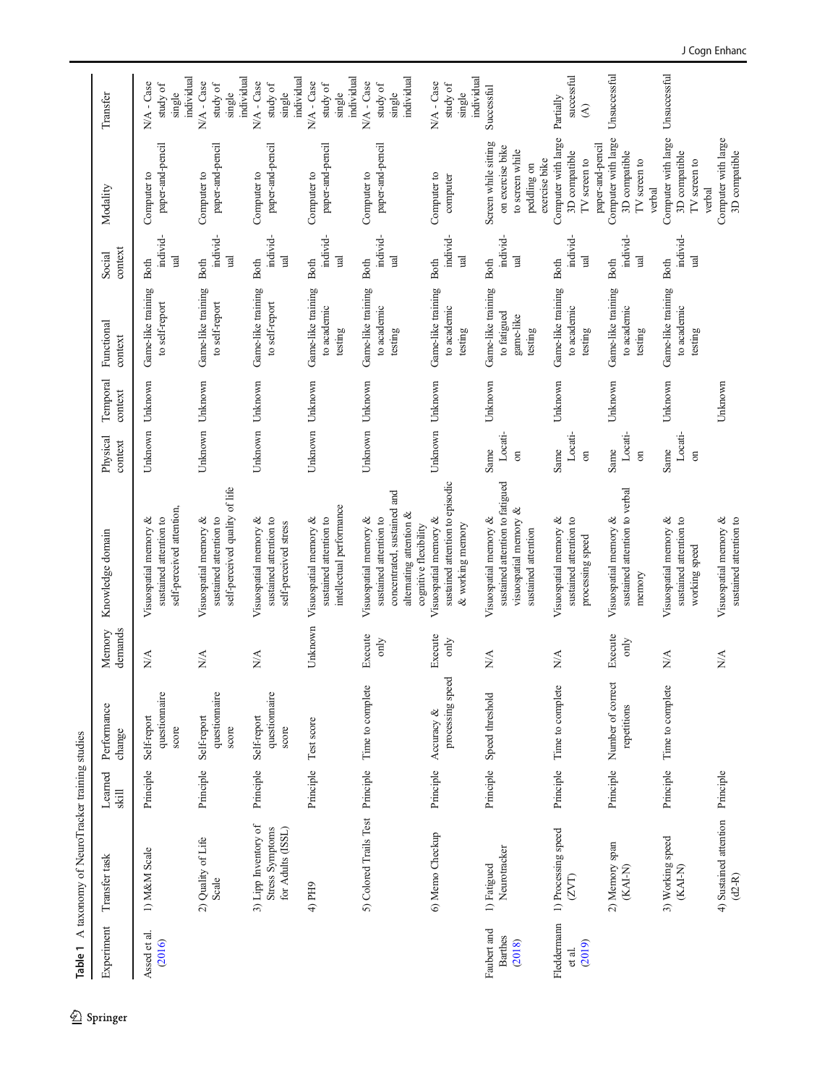| Table 1                                 | A taxonomy of NeuroTracker training studies                  |                  |                                       |                                   |                                                                                                                                    |                           |                     |                                                           |                                                    |                                                                                        |                                                              |
|-----------------------------------------|--------------------------------------------------------------|------------------|---------------------------------------|-----------------------------------|------------------------------------------------------------------------------------------------------------------------------------|---------------------------|---------------------|-----------------------------------------------------------|----------------------------------------------------|----------------------------------------------------------------------------------------|--------------------------------------------------------------|
| Experiment                              | Transfer task                                                | Learned<br>skill | Performance<br>change                 | demands<br>Memory                 | Knowledge domain                                                                                                                   | Physical<br>context       | Temporal<br>context | Functional<br>context                                     | context<br>Social                                  | Modality                                                                               | Transfer                                                     |
| Assed et al.<br>(2016)                  | 1) M&M Scale                                                 | Principle        | questionnaire<br>Self-report<br>score | $\sum_{i=1}^{n}$                  | self-perceived attention,<br>sustained attention to<br>Visuospatial memory &                                                       |                           | Unknown Unknown     | Game-like training<br>to self-report                      | individ-<br><b>ual</b><br><b>Both</b>              | paper-and-pencil<br>Computer to                                                        | individual<br>N/A - Case<br>study of<br>single               |
|                                         | 2) Quality of Life<br>Scale                                  | Principle        | questiomaire<br>Self-report<br>score  | $\stackrel{\triangle}{\geq}$      | self-perceived quality of life<br>sustained attention to<br>Visuospatial memory &                                                  |                           | Unknown Unknown     | Game-like training<br>to self-report                      | individ-<br>$\mathbb{R}$<br><b>Both</b>            | paper-and-pencil<br>Computer to                                                        | N/A - Case<br>study of<br>single                             |
|                                         | 3) Lipp Inventory of<br>for Adults (ISSL)<br>Stress Symptoms | Principle        | questionnaire<br>Self-report<br>score | $\sum_{i=1}^{n}$                  | sustained attention to<br>Visuospatial memory &<br>self-perceived stress                                                           | Unknown                   | Unknown             | Game-like training<br>to self-report                      | individ-<br>$_{\rm ud}$<br><b>Both</b>             | paper-and-pencil<br>Computer to                                                        | individual<br>individual<br>N/A - Case<br>study of<br>single |
|                                         | 4) PH9                                                       | Principle        | Test score                            | Unknown                           | intellectual performance<br>sustained attention to<br>Visuospatial memory &                                                        | Unknown                   | Unknown             | Game-like training<br>to academic<br>testing              | individ-<br>$\overline{\mathbf{a}}$<br><b>Both</b> | paper-and-pencil<br>Computer to                                                        | individual<br>N/A - Case<br>study of<br>single               |
|                                         | 5) Colored Trails Test Principle                             |                  | Time to complete                      | Execute<br>only                   | concentrated, sustained and<br>alternating attention &<br>sustained attention to<br>Visuospatial memory &<br>cognitive flexibility | Unknown                   | Unknown             | Game-like training<br>to academic<br>testing              | individ-<br><b>ual</b><br><b>Both</b>              | paper-and-pencil<br>Computer to                                                        | individual<br>N/A - Case<br>study of<br>single               |
|                                         | 6) Memo Checkup                                              | Principle        | processing speed<br>Accuracy &        | Execute<br>only                   | sustained attention to episodic<br>Visuospatial memory &<br>& working memory                                                       |                           | Unknown Unknown     | Game-like training<br>to academic<br>testing              | individ-<br><b>ual</b><br><b>Both</b>              | Computer to<br>computer                                                                | individual<br>N/A - Case<br>study of<br>single               |
| Faubert and<br><b>Barthes</b><br>(2018) | Neurotracker<br>1) Fatigued                                  | Principle        | Speed threshold                       | $\stackrel{\triangle}{\geq}$      | sustained attention to fatigued<br>visuospatial memory &<br>Visuospatial memory &<br>sustained attention                           | Locati-<br>Same<br>$\sin$ | Unknown             | Game-like training<br>to fatigued<br>game-like<br>testing | individ-<br>$\overline{\mathbf{a}}$<br>Both        | Screen while sitting<br>on exercise bike<br>to screen while<br>peddling on             | Successful                                                   |
| Fleddermann<br>(2019)<br>et al.         | 1) Processing speed<br>(2VT)                                 | Principle        | Time to complete                      | $\frac{\triangleleft}{\triangle}$ | sustained attention to<br>Visuospatial memory &<br>processing speed                                                                | Locati-<br>Same<br>$\sin$ | Unknown             | Game-like training<br>to academic<br>testing              | individ-<br>$\overline{\mathbf{a}}$<br><b>Both</b> | Computer with large<br>3D compatible<br>exercise bike<br>$\operatorname{TV}$ screen to | successful<br>Partially<br>$\widehat{\mathcal{E}}$           |
|                                         | 2) Memory span<br>$KAI-N$                                    | Principle        | Number of correct<br>repetitions      | Execute<br>only                   | sustained attention to verbal<br>Visuospatial memory &<br>memory                                                                   | Locati-<br>Same<br>$\sin$ | Unknown             | Game-like training<br>to academic<br>testing              | individ-<br>ual<br><b>Both</b>                     | Computer with large<br>paper-and-pencil<br>3D compatible<br>TV screen to<br>verbal     | Unsuccessful                                                 |
|                                         | 3) Working speed<br>$KAI-N$                                  | Principle        | Time to complete                      | $\sum_{i=1}^{n}$                  | sustained attention to<br>Visuospatial memory &<br>working speed                                                                   | Locati-<br>Same<br>$\sin$ | Unknown             | Game-like training<br>to academic<br>testing              | individ-<br><b>Tal</b><br><b>Both</b>              | Computer with large<br>3D compatible<br>TV screen to<br>verbal                         | Unsuccessful                                                 |
|                                         | 4) Sustained attention<br>$(d2-R)$                           | Principle        |                                       | $\sum_{i=1}^{n}$                  | sustained attention to<br>Visuospatial memory &                                                                                    |                           | Unknown             |                                                           |                                                    | Computer with large<br>3D compatible                                                   |                                                              |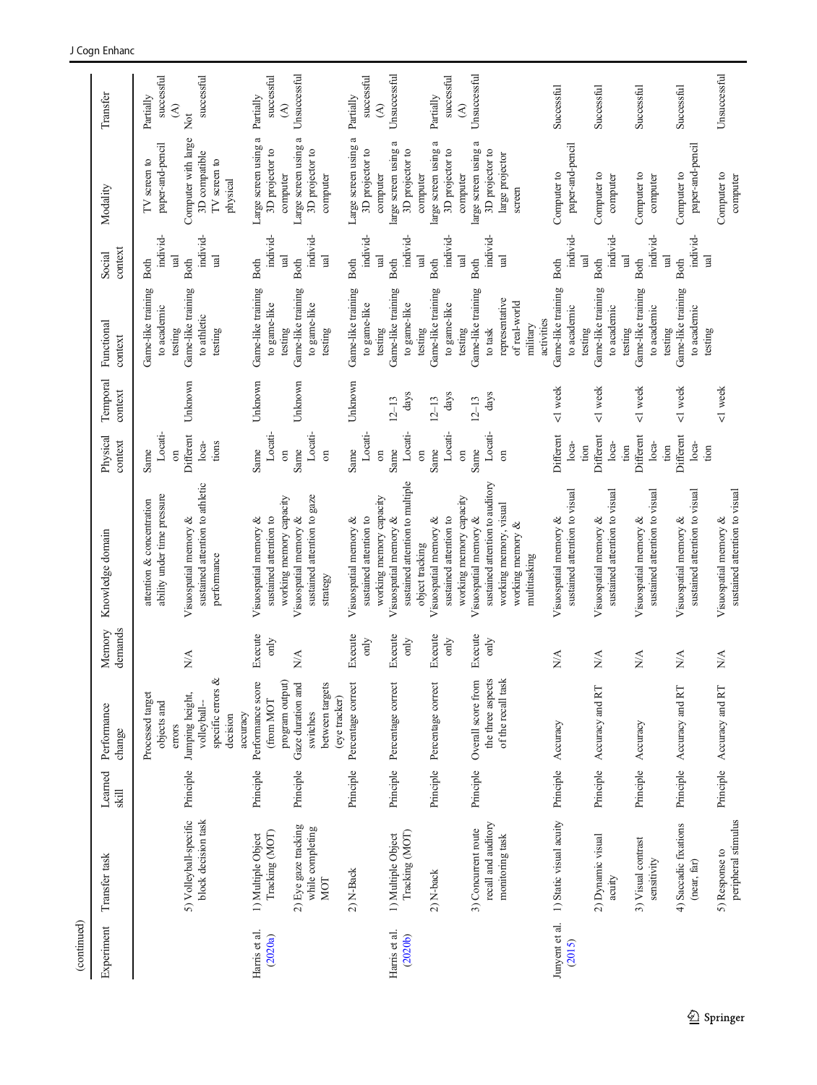| to athletic<br>military<br>testing<br>testing<br>testing<br>testing<br>to task<br>testing<br>testing<br>testing<br>testing<br>testing<br>testing<br>testing<br>Unknown<br>Unknown<br>Unknown<br>Unknown<br><1 week<br><1 week<br><1 week<br><1 week<br><1 week<br>$\rm days$<br>days<br>days<br>$12 - 13$<br>$12 - 13$<br>$12 - 13$<br>Locati-<br>Locati-<br>Locati-<br>Locati-<br>Locati-<br>Locati-<br>Locati-<br>Different<br>Different<br>Different<br>Different<br>Different<br>tions<br>$loca-$<br>loca-<br>$loca-$<br>loca-<br>$loca-$<br>tion<br>tion<br>tion<br>tion<br>Same<br>Same<br>Same<br>Same<br>Same<br>Same<br>Same<br>$\sin$<br>$\overline{\mathrm{m}}$<br>$\overline{\mathrm{m}}$<br>$\overline{\mathrm{m}}$<br>$\sin$<br>$\sin$<br>$\sin$<br>sustained attention to multiple<br>sustained attention to auditory<br>sustained attention to athletic<br>sustained attention to visual<br>sustained attention to visual<br>sustained attention to visual<br>sustained attention to visual<br>sustained attention to visual<br>ability under time pressure<br>sustained attention to gaze<br>working memory capacity<br>working memory capacity<br>working memory capacity<br>attention & concentration<br>working memory, visual<br>Visuospatial memory &<br>Visuospatial memory &<br>Visuospatial memory &<br>sustained attention to<br>Visuospatial memory &<br>sustained attention to<br>sustained attention to<br>Visuospatial memory &<br>Visuospatial memory &<br>Visuospatial memory &<br>Visuospatial memory &<br>Visuospatial memory &<br>Visuospatial memory &<br>Visuospatial memory &<br>Visuospatial memory &<br>working memory &<br>object tracking<br>performance<br>multitasking<br>strategy<br>Execute<br>Execute<br>Execute<br>Execute<br>Execute<br>only<br>only<br>$\sin$<br>only<br>$\sin$<br>N/A<br>$\lessapprox$<br>N/A<br>$N\!A$<br>NA<br>$\stackrel{\triangle}{\geq}$<br>$\mathbb{N}$<br>specific errors &<br>Performance score<br>program output)<br>Gaze duration and<br>Overall score from<br>the three aspects<br>of the recall task<br>Percentage correct<br>between targets<br>Percentage correct<br>Percentage correct<br>Accuracy and RT<br>Principle Accuracy and RT<br>Accuracy and RT<br>Processed target<br>Jumping height,<br>(eye tracker)<br>(from MOT<br>objects and<br>volleyball-<br>accuracy<br>switches<br>decision<br>Accuracy<br>Accuracy<br>errors<br>Principle<br>Principle<br>Principle<br>Principle<br>Principle<br>Principle<br>Principle<br>Principle<br>Principle<br>Principle<br>Principle<br>5) Volleyball-specific<br>1) Static visual acuity<br>block decision task<br>peripheral stimulus<br>recall and auditory<br>4) Saccadic fixations<br>2) Eye gaze tracking<br>while completing<br>3) Concurrent route<br>Tracking (MOT)<br>Tracking (MOT)<br>1) Multiple Object<br>1) Multiple Object<br>monitoring task<br>2) Dynamic visual<br>3) Visual contrast<br>5) Response to<br>sensitivity<br>(near, far)<br>2) N-Back<br>2) N-back<br>acuity<br>NOT<br>Junyent et al.<br>Harris et al.<br>Harris et al.<br>(2020 <sub>b</sub> )<br>(2020a)<br>(2015) | Experiment | Transfer task | Learned<br>$\sin$ | Performance<br>change | demands<br>Memory | Knowledge domain | Physical<br>context | Temporal<br>context | Functional<br>context             | context<br>Social          | Modality                         | Transfer                                |
|-------------------------------------------------------------------------------------------------------------------------------------------------------------------------------------------------------------------------------------------------------------------------------------------------------------------------------------------------------------------------------------------------------------------------------------------------------------------------------------------------------------------------------------------------------------------------------------------------------------------------------------------------------------------------------------------------------------------------------------------------------------------------------------------------------------------------------------------------------------------------------------------------------------------------------------------------------------------------------------------------------------------------------------------------------------------------------------------------------------------------------------------------------------------------------------------------------------------------------------------------------------------------------------------------------------------------------------------------------------------------------------------------------------------------------------------------------------------------------------------------------------------------------------------------------------------------------------------------------------------------------------------------------------------------------------------------------------------------------------------------------------------------------------------------------------------------------------------------------------------------------------------------------------------------------------------------------------------------------------------------------------------------------------------------------------------------------------------------------------------------------------------------------------------------------------------------------------------------------------------------------------------------------------------------------------------------------------------------------------------------------------------------------------------------------------------------------------------------------------------------------------------------------------------------------------------------------------------------------------------------------------------------------------------------------------------------------------------------------------------------------------------------------------------------------------------------------------------------------------------------------------------------------------------------------------------------------------------------------------------------------------------------------------------------------------------------------------------------------------------------------------|------------|---------------|-------------------|-----------------------|-------------------|------------------|---------------------|---------------------|-----------------------------------|----------------------------|----------------------------------|-----------------------------------------|
|                                                                                                                                                                                                                                                                                                                                                                                                                                                                                                                                                                                                                                                                                                                                                                                                                                                                                                                                                                                                                                                                                                                                                                                                                                                                                                                                                                                                                                                                                                                                                                                                                                                                                                                                                                                                                                                                                                                                                                                                                                                                                                                                                                                                                                                                                                                                                                                                                                                                                                                                                                                                                                                                                                                                                                                                                                                                                                                                                                                                                                                                                                                                     |            |               |                   |                       |                   |                  |                     |                     | Game-like training<br>to academic | individ-<br><b>Both</b>    | paper-and-pencil<br>IV screen to | successful<br>Partially                 |
|                                                                                                                                                                                                                                                                                                                                                                                                                                                                                                                                                                                                                                                                                                                                                                                                                                                                                                                                                                                                                                                                                                                                                                                                                                                                                                                                                                                                                                                                                                                                                                                                                                                                                                                                                                                                                                                                                                                                                                                                                                                                                                                                                                                                                                                                                                                                                                                                                                                                                                                                                                                                                                                                                                                                                                                                                                                                                                                                                                                                                                                                                                                                     |            |               |                   |                       |                   |                  |                     |                     |                                   | $\mathbb{E}$               |                                  | $\mathfrak{D}$                          |
|                                                                                                                                                                                                                                                                                                                                                                                                                                                                                                                                                                                                                                                                                                                                                                                                                                                                                                                                                                                                                                                                                                                                                                                                                                                                                                                                                                                                                                                                                                                                                                                                                                                                                                                                                                                                                                                                                                                                                                                                                                                                                                                                                                                                                                                                                                                                                                                                                                                                                                                                                                                                                                                                                                                                                                                                                                                                                                                                                                                                                                                                                                                                     |            |               |                   |                       |                   |                  |                     |                     | Game-like training                | <b>Both</b>                | Computer with large              | Not                                     |
|                                                                                                                                                                                                                                                                                                                                                                                                                                                                                                                                                                                                                                                                                                                                                                                                                                                                                                                                                                                                                                                                                                                                                                                                                                                                                                                                                                                                                                                                                                                                                                                                                                                                                                                                                                                                                                                                                                                                                                                                                                                                                                                                                                                                                                                                                                                                                                                                                                                                                                                                                                                                                                                                                                                                                                                                                                                                                                                                                                                                                                                                                                                                     |            |               |                   |                       |                   |                  |                     |                     |                                   | individ-<br>$\overline{a}$ | 3D compatible<br>TV screen to    | successful                              |
|                                                                                                                                                                                                                                                                                                                                                                                                                                                                                                                                                                                                                                                                                                                                                                                                                                                                                                                                                                                                                                                                                                                                                                                                                                                                                                                                                                                                                                                                                                                                                                                                                                                                                                                                                                                                                                                                                                                                                                                                                                                                                                                                                                                                                                                                                                                                                                                                                                                                                                                                                                                                                                                                                                                                                                                                                                                                                                                                                                                                                                                                                                                                     |            |               |                   |                       |                   |                  |                     |                     |                                   |                            | physical                         |                                         |
|                                                                                                                                                                                                                                                                                                                                                                                                                                                                                                                                                                                                                                                                                                                                                                                                                                                                                                                                                                                                                                                                                                                                                                                                                                                                                                                                                                                                                                                                                                                                                                                                                                                                                                                                                                                                                                                                                                                                                                                                                                                                                                                                                                                                                                                                                                                                                                                                                                                                                                                                                                                                                                                                                                                                                                                                                                                                                                                                                                                                                                                                                                                                     |            |               |                   |                       |                   |                  |                     |                     | Game-like training                | <b>Both</b>                | Large screen using a             | Partially                               |
|                                                                                                                                                                                                                                                                                                                                                                                                                                                                                                                                                                                                                                                                                                                                                                                                                                                                                                                                                                                                                                                                                                                                                                                                                                                                                                                                                                                                                                                                                                                                                                                                                                                                                                                                                                                                                                                                                                                                                                                                                                                                                                                                                                                                                                                                                                                                                                                                                                                                                                                                                                                                                                                                                                                                                                                                                                                                                                                                                                                                                                                                                                                                     |            |               |                   |                       |                   |                  |                     |                     | to game-like                      | individ-                   | 3D projector to                  | successful                              |
|                                                                                                                                                                                                                                                                                                                                                                                                                                                                                                                                                                                                                                                                                                                                                                                                                                                                                                                                                                                                                                                                                                                                                                                                                                                                                                                                                                                                                                                                                                                                                                                                                                                                                                                                                                                                                                                                                                                                                                                                                                                                                                                                                                                                                                                                                                                                                                                                                                                                                                                                                                                                                                                                                                                                                                                                                                                                                                                                                                                                                                                                                                                                     |            |               |                   |                       |                   |                  |                     |                     | Game-like training                | $_{\rm nd}$<br>Both        | Large screen using a<br>computer | Unsuccessful<br>$\widehat{\mathcal{E}}$ |
|                                                                                                                                                                                                                                                                                                                                                                                                                                                                                                                                                                                                                                                                                                                                                                                                                                                                                                                                                                                                                                                                                                                                                                                                                                                                                                                                                                                                                                                                                                                                                                                                                                                                                                                                                                                                                                                                                                                                                                                                                                                                                                                                                                                                                                                                                                                                                                                                                                                                                                                                                                                                                                                                                                                                                                                                                                                                                                                                                                                                                                                                                                                                     |            |               |                   |                       |                   |                  |                     |                     | to game-like                      | individ-                   | 3D projector to                  |                                         |
|                                                                                                                                                                                                                                                                                                                                                                                                                                                                                                                                                                                                                                                                                                                                                                                                                                                                                                                                                                                                                                                                                                                                                                                                                                                                                                                                                                                                                                                                                                                                                                                                                                                                                                                                                                                                                                                                                                                                                                                                                                                                                                                                                                                                                                                                                                                                                                                                                                                                                                                                                                                                                                                                                                                                                                                                                                                                                                                                                                                                                                                                                                                                     |            |               |                   |                       |                   |                  |                     |                     |                                   | $_{\rm nd}$                | computer                         |                                         |
|                                                                                                                                                                                                                                                                                                                                                                                                                                                                                                                                                                                                                                                                                                                                                                                                                                                                                                                                                                                                                                                                                                                                                                                                                                                                                                                                                                                                                                                                                                                                                                                                                                                                                                                                                                                                                                                                                                                                                                                                                                                                                                                                                                                                                                                                                                                                                                                                                                                                                                                                                                                                                                                                                                                                                                                                                                                                                                                                                                                                                                                                                                                                     |            |               |                   |                       |                   |                  |                     |                     | Game-like training                | <b>Both</b>                | Large screen using a             | Partially                               |
|                                                                                                                                                                                                                                                                                                                                                                                                                                                                                                                                                                                                                                                                                                                                                                                                                                                                                                                                                                                                                                                                                                                                                                                                                                                                                                                                                                                                                                                                                                                                                                                                                                                                                                                                                                                                                                                                                                                                                                                                                                                                                                                                                                                                                                                                                                                                                                                                                                                                                                                                                                                                                                                                                                                                                                                                                                                                                                                                                                                                                                                                                                                                     |            |               |                   |                       |                   |                  |                     |                     | to game-like                      | individ-                   | 3D projector to                  | successful                              |
|                                                                                                                                                                                                                                                                                                                                                                                                                                                                                                                                                                                                                                                                                                                                                                                                                                                                                                                                                                                                                                                                                                                                                                                                                                                                                                                                                                                                                                                                                                                                                                                                                                                                                                                                                                                                                                                                                                                                                                                                                                                                                                                                                                                                                                                                                                                                                                                                                                                                                                                                                                                                                                                                                                                                                                                                                                                                                                                                                                                                                                                                                                                                     |            |               |                   |                       |                   |                  |                     |                     |                                   | $\overline{\mathbf{u}}$    | computer                         | $\widehat{\mathcal{E}}$                 |
|                                                                                                                                                                                                                                                                                                                                                                                                                                                                                                                                                                                                                                                                                                                                                                                                                                                                                                                                                                                                                                                                                                                                                                                                                                                                                                                                                                                                                                                                                                                                                                                                                                                                                                                                                                                                                                                                                                                                                                                                                                                                                                                                                                                                                                                                                                                                                                                                                                                                                                                                                                                                                                                                                                                                                                                                                                                                                                                                                                                                                                                                                                                                     |            |               |                   |                       |                   |                  |                     |                     | Game-like training                | <b>Both</b>                | large screen using a             | Unsuccessful                            |
|                                                                                                                                                                                                                                                                                                                                                                                                                                                                                                                                                                                                                                                                                                                                                                                                                                                                                                                                                                                                                                                                                                                                                                                                                                                                                                                                                                                                                                                                                                                                                                                                                                                                                                                                                                                                                                                                                                                                                                                                                                                                                                                                                                                                                                                                                                                                                                                                                                                                                                                                                                                                                                                                                                                                                                                                                                                                                                                                                                                                                                                                                                                                     |            |               |                   |                       |                   |                  |                     |                     | to game-like                      | individ-                   | 3D projector to                  |                                         |
|                                                                                                                                                                                                                                                                                                                                                                                                                                                                                                                                                                                                                                                                                                                                                                                                                                                                                                                                                                                                                                                                                                                                                                                                                                                                                                                                                                                                                                                                                                                                                                                                                                                                                                                                                                                                                                                                                                                                                                                                                                                                                                                                                                                                                                                                                                                                                                                                                                                                                                                                                                                                                                                                                                                                                                                                                                                                                                                                                                                                                                                                                                                                     |            |               |                   |                       |                   |                  |                     |                     |                                   | $\overline{\mathbf{a}}$    | computer                         |                                         |
|                                                                                                                                                                                                                                                                                                                                                                                                                                                                                                                                                                                                                                                                                                                                                                                                                                                                                                                                                                                                                                                                                                                                                                                                                                                                                                                                                                                                                                                                                                                                                                                                                                                                                                                                                                                                                                                                                                                                                                                                                                                                                                                                                                                                                                                                                                                                                                                                                                                                                                                                                                                                                                                                                                                                                                                                                                                                                                                                                                                                                                                                                                                                     |            |               |                   |                       |                   |                  |                     |                     | Game-like training                | <b>Both</b>                | large screen using a             | Partially                               |
|                                                                                                                                                                                                                                                                                                                                                                                                                                                                                                                                                                                                                                                                                                                                                                                                                                                                                                                                                                                                                                                                                                                                                                                                                                                                                                                                                                                                                                                                                                                                                                                                                                                                                                                                                                                                                                                                                                                                                                                                                                                                                                                                                                                                                                                                                                                                                                                                                                                                                                                                                                                                                                                                                                                                                                                                                                                                                                                                                                                                                                                                                                                                     |            |               |                   |                       |                   |                  |                     |                     | to game-like                      | individ-                   | 3D projector to                  | successful                              |
|                                                                                                                                                                                                                                                                                                                                                                                                                                                                                                                                                                                                                                                                                                                                                                                                                                                                                                                                                                                                                                                                                                                                                                                                                                                                                                                                                                                                                                                                                                                                                                                                                                                                                                                                                                                                                                                                                                                                                                                                                                                                                                                                                                                                                                                                                                                                                                                                                                                                                                                                                                                                                                                                                                                                                                                                                                                                                                                                                                                                                                                                                                                                     |            |               |                   |                       |                   |                  |                     |                     |                                   | $\overline{\mathbf{u}}$    | computer                         | $\widehat{\mathcal{E}}$                 |
|                                                                                                                                                                                                                                                                                                                                                                                                                                                                                                                                                                                                                                                                                                                                                                                                                                                                                                                                                                                                                                                                                                                                                                                                                                                                                                                                                                                                                                                                                                                                                                                                                                                                                                                                                                                                                                                                                                                                                                                                                                                                                                                                                                                                                                                                                                                                                                                                                                                                                                                                                                                                                                                                                                                                                                                                                                                                                                                                                                                                                                                                                                                                     |            |               |                   |                       |                   |                  |                     |                     | Game-like training                | <b>Both</b>                | large screen using a             | Unsuccessful                            |
|                                                                                                                                                                                                                                                                                                                                                                                                                                                                                                                                                                                                                                                                                                                                                                                                                                                                                                                                                                                                                                                                                                                                                                                                                                                                                                                                                                                                                                                                                                                                                                                                                                                                                                                                                                                                                                                                                                                                                                                                                                                                                                                                                                                                                                                                                                                                                                                                                                                                                                                                                                                                                                                                                                                                                                                                                                                                                                                                                                                                                                                                                                                                     |            |               |                   |                       |                   |                  |                     |                     |                                   | individ-                   | 3D projector to                  |                                         |
|                                                                                                                                                                                                                                                                                                                                                                                                                                                                                                                                                                                                                                                                                                                                                                                                                                                                                                                                                                                                                                                                                                                                                                                                                                                                                                                                                                                                                                                                                                                                                                                                                                                                                                                                                                                                                                                                                                                                                                                                                                                                                                                                                                                                                                                                                                                                                                                                                                                                                                                                                                                                                                                                                                                                                                                                                                                                                                                                                                                                                                                                                                                                     |            |               |                   |                       |                   |                  |                     |                     | representative                    | <b>Tal</b>                 | large projector                  |                                         |
|                                                                                                                                                                                                                                                                                                                                                                                                                                                                                                                                                                                                                                                                                                                                                                                                                                                                                                                                                                                                                                                                                                                                                                                                                                                                                                                                                                                                                                                                                                                                                                                                                                                                                                                                                                                                                                                                                                                                                                                                                                                                                                                                                                                                                                                                                                                                                                                                                                                                                                                                                                                                                                                                                                                                                                                                                                                                                                                                                                                                                                                                                                                                     |            |               |                   |                       |                   |                  |                     |                     | of real-world                     |                            | screen                           |                                         |
|                                                                                                                                                                                                                                                                                                                                                                                                                                                                                                                                                                                                                                                                                                                                                                                                                                                                                                                                                                                                                                                                                                                                                                                                                                                                                                                                                                                                                                                                                                                                                                                                                                                                                                                                                                                                                                                                                                                                                                                                                                                                                                                                                                                                                                                                                                                                                                                                                                                                                                                                                                                                                                                                                                                                                                                                                                                                                                                                                                                                                                                                                                                                     |            |               |                   |                       |                   |                  |                     |                     | activities                        |                            |                                  |                                         |
|                                                                                                                                                                                                                                                                                                                                                                                                                                                                                                                                                                                                                                                                                                                                                                                                                                                                                                                                                                                                                                                                                                                                                                                                                                                                                                                                                                                                                                                                                                                                                                                                                                                                                                                                                                                                                                                                                                                                                                                                                                                                                                                                                                                                                                                                                                                                                                                                                                                                                                                                                                                                                                                                                                                                                                                                                                                                                                                                                                                                                                                                                                                                     |            |               |                   |                       |                   |                  |                     |                     | Game-like training                | <b>Both</b>                | Computer to                      | Successful                              |
|                                                                                                                                                                                                                                                                                                                                                                                                                                                                                                                                                                                                                                                                                                                                                                                                                                                                                                                                                                                                                                                                                                                                                                                                                                                                                                                                                                                                                                                                                                                                                                                                                                                                                                                                                                                                                                                                                                                                                                                                                                                                                                                                                                                                                                                                                                                                                                                                                                                                                                                                                                                                                                                                                                                                                                                                                                                                                                                                                                                                                                                                                                                                     |            |               |                   |                       |                   |                  |                     |                     | to academic                       | individ-                   | paper-and-pencil                 |                                         |
|                                                                                                                                                                                                                                                                                                                                                                                                                                                                                                                                                                                                                                                                                                                                                                                                                                                                                                                                                                                                                                                                                                                                                                                                                                                                                                                                                                                                                                                                                                                                                                                                                                                                                                                                                                                                                                                                                                                                                                                                                                                                                                                                                                                                                                                                                                                                                                                                                                                                                                                                                                                                                                                                                                                                                                                                                                                                                                                                                                                                                                                                                                                                     |            |               |                   |                       |                   |                  |                     |                     |                                   | $_{\rm ud}$                |                                  |                                         |
|                                                                                                                                                                                                                                                                                                                                                                                                                                                                                                                                                                                                                                                                                                                                                                                                                                                                                                                                                                                                                                                                                                                                                                                                                                                                                                                                                                                                                                                                                                                                                                                                                                                                                                                                                                                                                                                                                                                                                                                                                                                                                                                                                                                                                                                                                                                                                                                                                                                                                                                                                                                                                                                                                                                                                                                                                                                                                                                                                                                                                                                                                                                                     |            |               |                   |                       |                   |                  |                     |                     | Game-like training                | <b>Both</b>                | Computer to                      | Successful                              |
|                                                                                                                                                                                                                                                                                                                                                                                                                                                                                                                                                                                                                                                                                                                                                                                                                                                                                                                                                                                                                                                                                                                                                                                                                                                                                                                                                                                                                                                                                                                                                                                                                                                                                                                                                                                                                                                                                                                                                                                                                                                                                                                                                                                                                                                                                                                                                                                                                                                                                                                                                                                                                                                                                                                                                                                                                                                                                                                                                                                                                                                                                                                                     |            |               |                   |                       |                   |                  |                     |                     | to academic                       | individ-                   | computer                         |                                         |
|                                                                                                                                                                                                                                                                                                                                                                                                                                                                                                                                                                                                                                                                                                                                                                                                                                                                                                                                                                                                                                                                                                                                                                                                                                                                                                                                                                                                                                                                                                                                                                                                                                                                                                                                                                                                                                                                                                                                                                                                                                                                                                                                                                                                                                                                                                                                                                                                                                                                                                                                                                                                                                                                                                                                                                                                                                                                                                                                                                                                                                                                                                                                     |            |               |                   |                       |                   |                  |                     |                     | Game-like training                | ual<br><b>Both</b>         | Computer to                      | Successful                              |
|                                                                                                                                                                                                                                                                                                                                                                                                                                                                                                                                                                                                                                                                                                                                                                                                                                                                                                                                                                                                                                                                                                                                                                                                                                                                                                                                                                                                                                                                                                                                                                                                                                                                                                                                                                                                                                                                                                                                                                                                                                                                                                                                                                                                                                                                                                                                                                                                                                                                                                                                                                                                                                                                                                                                                                                                                                                                                                                                                                                                                                                                                                                                     |            |               |                   |                       |                   |                  |                     |                     | to academic                       | individ-                   | computer                         |                                         |
|                                                                                                                                                                                                                                                                                                                                                                                                                                                                                                                                                                                                                                                                                                                                                                                                                                                                                                                                                                                                                                                                                                                                                                                                                                                                                                                                                                                                                                                                                                                                                                                                                                                                                                                                                                                                                                                                                                                                                                                                                                                                                                                                                                                                                                                                                                                                                                                                                                                                                                                                                                                                                                                                                                                                                                                                                                                                                                                                                                                                                                                                                                                                     |            |               |                   |                       |                   |                  |                     |                     |                                   | <b>ual</b>                 |                                  |                                         |
|                                                                                                                                                                                                                                                                                                                                                                                                                                                                                                                                                                                                                                                                                                                                                                                                                                                                                                                                                                                                                                                                                                                                                                                                                                                                                                                                                                                                                                                                                                                                                                                                                                                                                                                                                                                                                                                                                                                                                                                                                                                                                                                                                                                                                                                                                                                                                                                                                                                                                                                                                                                                                                                                                                                                                                                                                                                                                                                                                                                                                                                                                                                                     |            |               |                   |                       |                   |                  |                     |                     | Game-like training<br>to academic | individ-<br><b>Both</b>    | paper-and-pencil<br>Computer to  | Successful                              |
|                                                                                                                                                                                                                                                                                                                                                                                                                                                                                                                                                                                                                                                                                                                                                                                                                                                                                                                                                                                                                                                                                                                                                                                                                                                                                                                                                                                                                                                                                                                                                                                                                                                                                                                                                                                                                                                                                                                                                                                                                                                                                                                                                                                                                                                                                                                                                                                                                                                                                                                                                                                                                                                                                                                                                                                                                                                                                                                                                                                                                                                                                                                                     |            |               |                   |                       |                   |                  |                     |                     |                                   | <b>Tall</b>                |                                  |                                         |
|                                                                                                                                                                                                                                                                                                                                                                                                                                                                                                                                                                                                                                                                                                                                                                                                                                                                                                                                                                                                                                                                                                                                                                                                                                                                                                                                                                                                                                                                                                                                                                                                                                                                                                                                                                                                                                                                                                                                                                                                                                                                                                                                                                                                                                                                                                                                                                                                                                                                                                                                                                                                                                                                                                                                                                                                                                                                                                                                                                                                                                                                                                                                     |            |               |                   |                       |                   |                  |                     |                     |                                   |                            | Computer to                      | Unsuccessful                            |
|                                                                                                                                                                                                                                                                                                                                                                                                                                                                                                                                                                                                                                                                                                                                                                                                                                                                                                                                                                                                                                                                                                                                                                                                                                                                                                                                                                                                                                                                                                                                                                                                                                                                                                                                                                                                                                                                                                                                                                                                                                                                                                                                                                                                                                                                                                                                                                                                                                                                                                                                                                                                                                                                                                                                                                                                                                                                                                                                                                                                                                                                                                                                     |            |               |                   |                       |                   |                  |                     |                     |                                   |                            | computer                         |                                         |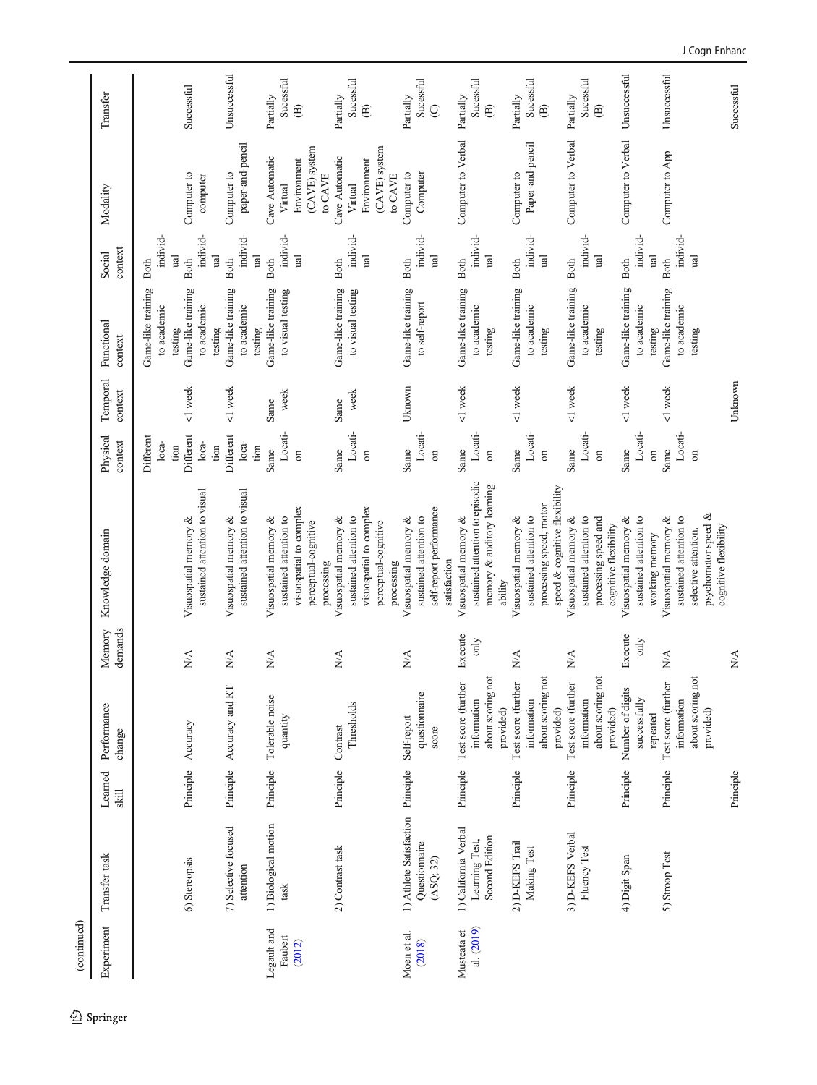| (continued)       |                                   |                   |                                    |                                 |                                                          |                            |                     |                                              |                                                    |                          |                          |
|-------------------|-----------------------------------|-------------------|------------------------------------|---------------------------------|----------------------------------------------------------|----------------------------|---------------------|----------------------------------------------|----------------------------------------------------|--------------------------|--------------------------|
| Experiment        | Transfer task                     | Learned<br>$\sin$ | Performance<br>change              | demands<br>Memory               | Knowledge domain                                         | Physical<br>context        | Temporal<br>context | Functional<br>context                        | context<br>Social                                  | Modality                 | Transfer                 |
|                   |                                   |                   |                                    |                                 |                                                          | Different<br>loca-<br>tion |                     | Game-like training<br>to academic<br>testing | individ-<br>$\overline{\mathbf{u}}$<br><b>Both</b> |                          |                          |
|                   | 6) Stereopsis                     | Principle         | Accuracy                           | $N\!A$                          | sustained attention to visual<br>Visuospatial memory &   | Different<br>$loca-$       | <1 week             | Game-like training<br>to academic            | individ-<br><b>Both</b>                            | Computer to<br>computer  | Successful               |
|                   | 7) Selective focused              | Principle         | Accuracy and RT                    | N/A                             | Visuospatial memory &                                    | Different<br>tion          | <1 week             | Game-like training<br>testing                | <b>Tal</b><br><b>Both</b>                          | Computer to              | Unsuccessful             |
|                   | attention                         |                   |                                    |                                 | sustained attention to visual                            | $loca-$<br>tion            |                     | to academic<br>testing                       | individ-<br><b>ual</b>                             | paper-and-pencil         |                          |
| Legault and       | 1) Biological motion              | Principle         | Tolerable noise                    | N/A                             | Visuospatial memory &                                    | Same                       | Same                | Game-like training                           | <b>Both</b>                                        | Cave Automatic           | Partially                |
| Faubert<br>(2012) | task                              |                   | quantity                           |                                 | visuospatial to complex<br>sustained attention to        | Locati-<br>$\overline{a}$  | week                | to visual testing                            | individ-<br>$\overline{\mathbf{u}}$                | Environment<br>Virtual   | Sucessful<br>$\circledR$ |
|                   |                                   |                   |                                    |                                 | perceptual-cognitive<br>processing                       |                            |                     |                                              |                                                    | (CAVE) system<br>to CAVE |                          |
|                   | 2) Contrast task                  | Principle         | Contrast                           | N/A                             | Visuospatial memory &                                    | Same                       | Same                | Game-like training                           | <b>Both</b>                                        | Cave Automatic           | Partially                |
|                   |                                   |                   | Thresholds                         |                                 | sustained attention to                                   | Locati-                    | week                | to visual testing                            | individ-                                           | Virtual                  | Sucessful                |
|                   |                                   |                   |                                    |                                 | visuospatial to complex                                  | $\sin$                     |                     |                                              | $\overline{\mathbf{a}}$                            | Environment              | $\circledR$              |
|                   |                                   |                   |                                    |                                 | perceptual-cognitive<br>processing                       |                            |                     |                                              |                                                    | (CAVE) system<br>to CAVE |                          |
| Moen et al.       | 1) Athlete Satisfaction Principle |                   | Self-report                        | N/A                             | Visuospatial memory &                                    | Same                       | Uknown              | Game-like training                           | Both                                               | Computer to              | Partially                |
| (2018)            | Questionnaire                     |                   | questionnaire                      |                                 | sustained attention to                                   | Locati-                    |                     | to self-report                               | individ-                                           | Computer                 | Sucessful                |
|                   | (ASQ; 32)                         |                   | score                              |                                 | self-report performance<br>satisfaction                  | $\sin$                     |                     |                                              | <b>ual</b>                                         |                          | $\odot$                  |
| Musteata et       | 1) California Verbal              | Principle         | Test score (further                | Execute                         | Visuospatial memory &                                    | Same                       | <1 week             | Game-like training                           | Both                                               | Computer to Verbal       | Partially                |
| al. (2019)        | Leaming Test,                     |                   | information                        | only                            | sustained attention to episodic                          | Locati-                    |                     | to academic                                  | individ-                                           |                          | Sucessful                |
|                   | Second Edition                    |                   | about scoring not<br>provided)     |                                 | memory & auditory learning<br>ability                    | $\sigma$                   |                     | testing                                      | ual                                                |                          | $\circledR$              |
|                   | 2) D-KEFS Trail                   | Principle         | Test score (further                | N/A                             | Visuospatial memory &                                    | Same                       | <1 week             | Game-like training                           | <b>Both</b>                                        | Computer to              | Partially                |
|                   | Making Test                       |                   | information                        |                                 | sustained attention to                                   | Locati-                    |                     | to academic                                  | individ-                                           | Paper-and-pencil         | Sucessful                |
|                   |                                   |                   | about scoring no<br>provided)      |                                 | speed & cognitive flexibility<br>processing speed, motor | $\sin$                     |                     | testing                                      | $\overline{\mathbf{B}}$                            |                          | $\widehat{\mathfrak{B}}$ |
|                   | 3) D-KEFS Verbal                  | Principle         | Test score (further                | $\mathbb{N}\mathbb{A}$          | Visuospatial memory &                                    | Same                       | <1 week             | Game-like training                           | <b>Both</b>                                        | Computer to Verbal       | Partially                |
|                   | Fluency Test                      |                   | information                        |                                 | sustained attention to                                   | Locati-                    |                     | to academic                                  | individ-                                           |                          | Sucessful                |
|                   |                                   |                   | about scoring not<br>provided)     |                                 | processing speed and<br>cognitive flexibility            | $\sin$                     |                     | testing                                      | $\mathbb{E}$                                       |                          | $\circledR$              |
|                   | 4) Digit Span                     | Principle         | Number of digits                   | Execute                         | Visuospatial memory &                                    | Same                       | <1 week             | Game-like training                           | <b>Both</b>                                        | Computer to Verbal       | Unsuccessful             |
|                   |                                   |                   | successfully                       | only                            | sustained attention to                                   | Locati-                    |                     | to academic                                  | individ-                                           |                          |                          |
|                   |                                   |                   | repeated                           |                                 | working memory                                           | $\overline{\mathrm{m}}$    |                     | testing                                      | $\overline{\mathbf{a}}$                            |                          |                          |
|                   | 5) Stroop Test                    | Principle         | Test score (further<br>information | N/A                             | Visuospatial memory &<br>sustained attention to          | Locati-<br>Same            | <1 week             | Game-like training<br>to academic            | individ-<br><b>Both</b>                            | Computer to App          | Unsuccessful             |
|                   |                                   |                   | about scoring not                  |                                 | selective attention,                                     | $\sin$                     |                     | testing                                      | $\overline{\mathbf{u}}$                            |                          |                          |
|                   |                                   |                   | provided)                          |                                 | psychomotor speed &                                      |                            |                     |                                              |                                                    |                          |                          |
|                   |                                   | Principle         |                                    | $\frac{\mathbf{A}}{\mathbf{A}}$ | cognitive flexibility                                    |                            | Unknown             |                                              |                                                    |                          | Successful               |
|                   |                                   |                   |                                    |                                 |                                                          |                            |                     |                                              |                                                    |                          |                          |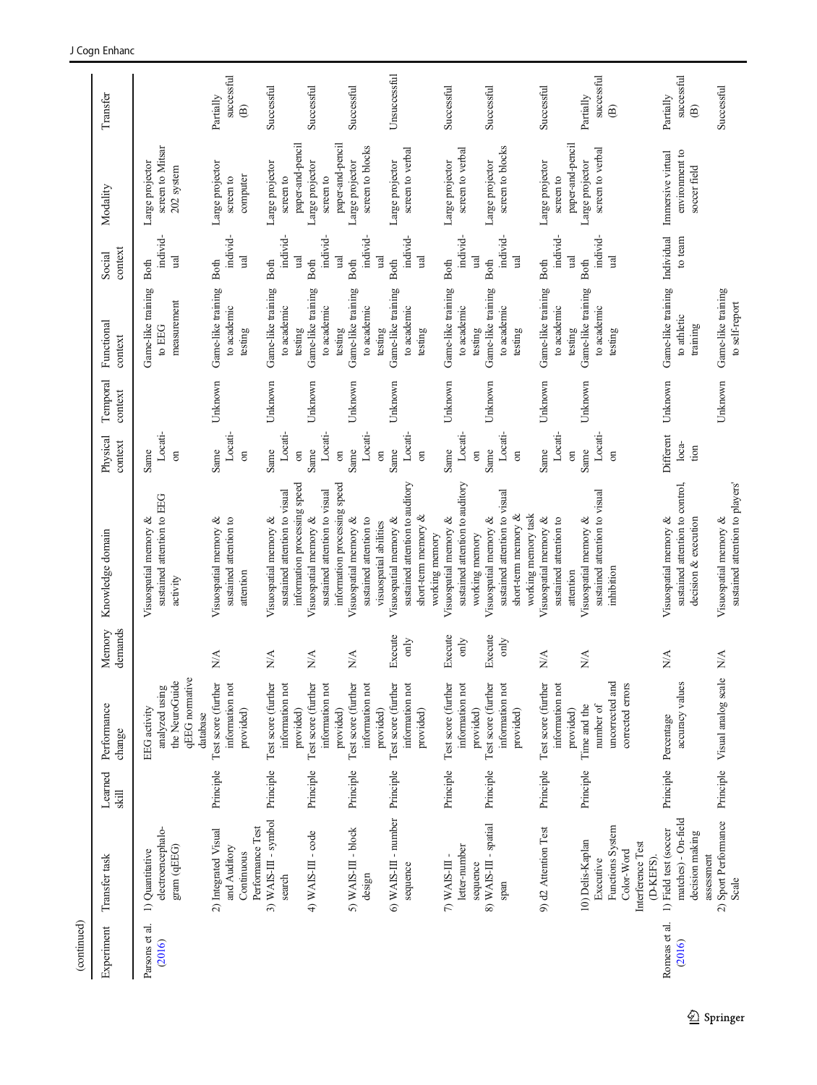| (continued)                |                                                                                                              |                                  |                                                                                                                         |                                                  |                                                                                                                                                                       |                                                                         |                     |                                                                                              |                                                           |                                                                                                |                                                                   |
|----------------------------|--------------------------------------------------------------------------------------------------------------|----------------------------------|-------------------------------------------------------------------------------------------------------------------------|--------------------------------------------------|-----------------------------------------------------------------------------------------------------------------------------------------------------------------------|-------------------------------------------------------------------------|---------------------|----------------------------------------------------------------------------------------------|-----------------------------------------------------------|------------------------------------------------------------------------------------------------|-------------------------------------------------------------------|
| Experiment                 | Transfer task                                                                                                | Learned<br>$\overline{\text{M}}$ | Performance<br>change                                                                                                   | demands<br>Memory                                | Knowledge domain                                                                                                                                                      | Physical<br>context                                                     | Temporal<br>context | Functional<br>context                                                                        | context<br>Social                                         | Modality                                                                                       | Transfer                                                          |
| ನ.<br>Parsons et<br>(2016) | electroencephalo-<br>gram (qEEG)<br>1) Quantitative                                                          |                                  | qEEG normative<br>the NeuroGuide<br>analyzed using<br>EEG activity<br>database                                          |                                                  | sustained attention to EEG<br>Visuospatial memory &<br>activity                                                                                                       | Locati-<br>Same<br>$\overline{5}$                                       |                     | Game-like training<br>measurement<br>to $\rm EEG$                                            | individ-<br>ual<br>Both                                   | screen to Mitsar<br>Large projector<br>202 system                                              |                                                                   |
|                            | Performance Test<br>2) Integrated Visual<br>and Auditory<br>Continuous                                       | Principle                        | Test score (further<br>information not<br>provided)                                                                     | $\stackrel{\triangle}{\geq}$                     | Visuospatial memory &<br>sustained attention to<br>attention                                                                                                          | Locati-<br>Same<br>$\overline{a}$                                       | Unknown             | Game-like training<br>to academic<br>testing                                                 | individ-<br>ual<br>Both                                   | Large projector<br>computer<br>screen to                                                       | successful<br>Partially<br>$\widehat{\mathbf{B}}$                 |
|                            | 3) WAIS-III - symbol<br>4) WAIS-III - code<br>search                                                         | Principle<br>Principle           | Test score (further<br>Test score (further<br>information not<br>information not<br>provided)                           | $\sum_{i=1}^{n}$<br>$\sum_{i=1}^{n}$             | information processing speed<br>sustained attention to visual<br>sustained attention to visual<br>Visuospatial memory &<br>Visuospatial memory &                      | Locati-<br>Locati-<br>Same<br>Same<br>$\overline{\mathrm{m}}$           | Unknown<br>Unknown  | Game-like training<br>Game-like training<br>to academic<br>to academic<br>testing            | individ-<br>individ-<br>ual<br>Both<br>Both               | paper-and-pencil<br>Large projector<br>Large projector<br>screen to<br>screen to               | Successful<br>Successful                                          |
|                            | 6) WAIS-III - number Principle<br>5) WAIS-III - block<br>sequence<br>design                                  | Principle                        | Test score (further<br>Test score (further<br>information not<br>information not<br>provided)<br>provided)              | Execute<br>only<br>$N\!$                         | sustained attention to auditory<br>information processing speed<br>Visuospatial memory &<br>sustained attention to<br>Visuospatial memory &<br>visuospatial abilities | Locati-<br>Locati-<br>Same<br>Same<br>$\overline{\mathrm{m}}$<br>$\sin$ | Unknown<br>Unknown  | Game-like training<br>Game-like training<br>to academic<br>to academic<br>testing<br>testing | individ-<br>individ-<br>ual<br>ual<br>Both<br>Both        | paper-and-pencil<br>screen to blocks<br>screen to verbal<br>Large projector<br>Large projector | Unsuccessful<br>Successful                                        |
|                            | letter-number<br>7) WAIS-III                                                                                 | Principle                        | Test score (further<br>information not<br>provided)                                                                     | Execute<br>only                                  | sustained attention to auditory<br>short-term memory &<br>Visuospatial memory &<br>working memory                                                                     | Locati-<br>Same<br>$\overline{a}$                                       | Unknown             | Game-like training<br>to academic<br>testing                                                 | individ-<br>ual<br><b>Both</b>                            | screen to verbal<br>Large projector                                                            | Successful                                                        |
|                            | 8) WAIS-III - spatial<br>sequence<br>span                                                                    | Principle                        | Test score (further<br>information not<br>provided)<br>provided)                                                        | Execute<br>only                                  | sustained attention to visual<br>short-term memory &<br>working memory task<br>Visuospatial memory &<br>working memory                                                | Locati-<br>Same<br>$\sin$<br>$\overline{a}$                             | Unknown             | Game-like training<br>to academic<br>testing<br>testing                                      | individ-<br>ual<br>ual<br>Both                            | screen to blocks<br>Large projector                                                            | Successful                                                        |
|                            | 9) d2 Attention Test<br>Functions System<br>10) Delis-Kaplan<br>Interference Test<br>Color-Word<br>Executive | Principle<br>Principle           | Test score (further<br>information not<br>uncorrected and<br>corrected errors<br>number of<br>Time and the<br>provided) | $\stackrel{\triangle}{\geq}$<br>$\sum_{i=1}^{n}$ | sustained attention to visual<br>Visuospatial memory &<br>Visuospatial memory &<br>sustained attention to<br>inhibition<br>attention                                  | Locati-<br>Locati-<br>Same<br>Same<br>$\sin$<br>$\overline{a}$          | Unknown<br>Unknown  | Game-like training<br>Game-like training<br>to academic<br>to academic<br>testing<br>testing | individ-<br>individ-<br>ual<br>ual<br><b>Both</b><br>Both | paper-and-pencil<br>screen to verbal<br>Large projector<br>Large projector<br>screen to        | successful<br>Successful<br>Partially<br>$\widehat{\mathfrak{B}}$ |
| Romeas et al.<br>(2016)    | matches) - On-field<br>1) Field test (soccer<br>decision making<br>assessment<br>(D-KEFS).                   | Principle                        | accuracy values<br>Percentage                                                                                           | $\stackrel{\triangle}{\geq}$                     | sustained attention to control,<br>Visuospatial memory &<br>decision & execution                                                                                      | Different<br>$loca-$<br>tion                                            | Unknown             | Game-like training<br>to athletic<br>training                                                | Individual<br>to team                                     | Immersive virtual<br>environment to<br>soccer field                                            | successful<br>Partially<br>$\widehat{\mathbf{B}}$                 |
|                            | 2) Sport Performance<br>Scale                                                                                |                                  | Principle Visual analog scale                                                                                           | $\mathbb{N}\mathbb{A}$                           | sustained attention to players'<br>Visuospatial memory &                                                                                                              |                                                                         | Unknown             | Game-like training<br>to self-report                                                         |                                                           |                                                                                                | Successful                                                        |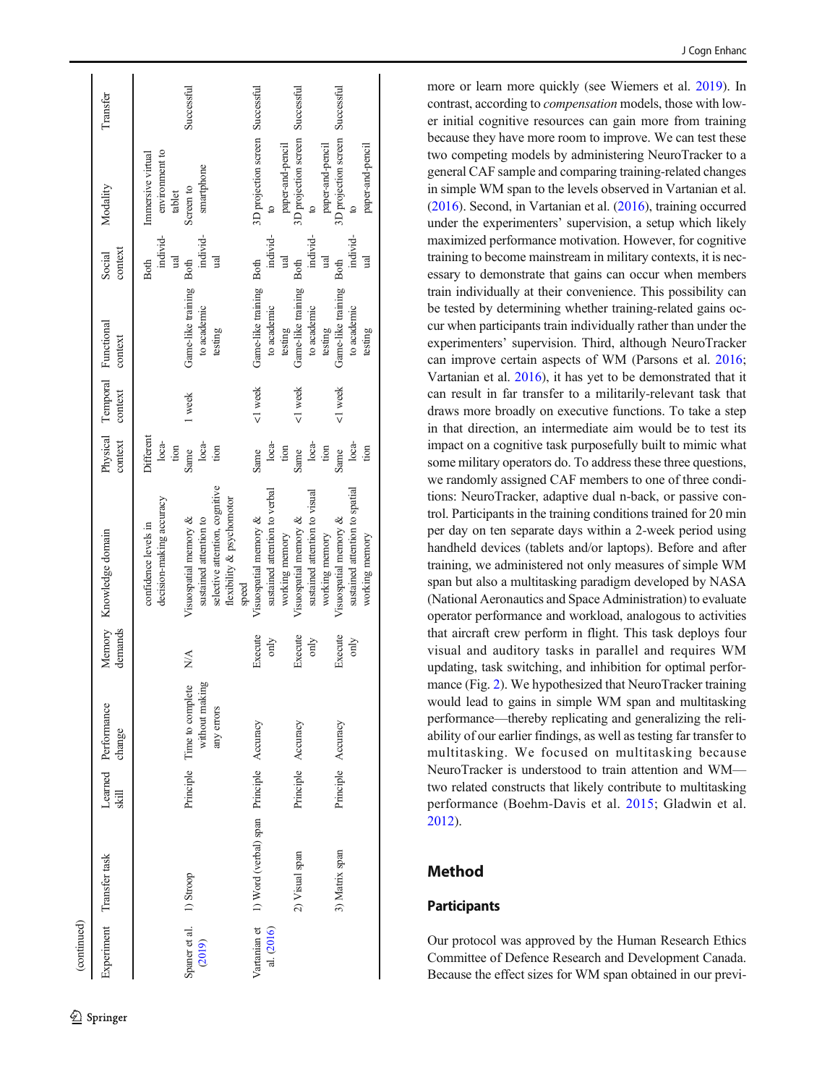| (continued)                       |                                          |                    |                                                                 |                 |                                                                                                                         |                              |                                         |                                              |                                |                                                                                  |            |
|-----------------------------------|------------------------------------------|--------------------|-----------------------------------------------------------------|-----------------|-------------------------------------------------------------------------------------------------------------------------|------------------------------|-----------------------------------------|----------------------------------------------|--------------------------------|----------------------------------------------------------------------------------|------------|
|                                   | Experiment Transfer task                 | skill              | Learned Performance<br>change                                   | demands         | Memory Knowledge domain                                                                                                 | context                      | Physical Temporal Functional<br>context | context                                      | context<br>Social              | Modality                                                                         | Transfer   |
|                                   |                                          |                    |                                                                 |                 | decision-making accuracy<br>confidence levels in                                                                        | Different<br>$loca-$<br>tion |                                         |                                              | individ-<br>ual<br>Both        | environment to<br>Immersive virtual<br>tablet                                    |            |
| Spaner et al. 1) Stroop<br>(2019) |                                          |                    | þЙ<br>Principle Time to complete<br>without makin<br>any errors | $\frac{1}{2}$   | selective attention, cognitive<br>flexibility & psychomotor<br>sustained attention to<br>Visuospatial memory &<br>speed | $loca-$<br>Same<br>tion      | 1 week                                  | Game-like training<br>to academic<br>testing | individ-<br>ual<br>Both        | smartphone<br>Screen to                                                          | Successful |
| Vartanian et<br>al. (2016)        | 1) Word (verbal) span Principle Accuracy |                    |                                                                 | Execute<br>only | sustained attention to verbal<br>Visuospatial memory &<br>working memory                                                | loca-<br>tion<br>Same        | <1 week                                 | Game-like training<br>to academic<br>testing | individ-<br>ual<br><b>Both</b> | 3D projection screen Successful<br>paper-and-pencil<br>$\boldsymbol{\mathsf{a}}$ |            |
|                                   | 2) Visual span                           | Principle Accuracy |                                                                 | Execute<br>only | sustained attention to visual<br>Visuospatial memory &<br>working memory                                                | loca-<br>tion<br>Same        | <1 week                                 | Game-like training<br>to academic<br>testing | individ-<br>ual<br><b>Both</b> | 3D projection screen Successful<br>paper-and-pencil<br>$\overline{a}$            |            |
|                                   | 3) Matrix span                           | Principle Accuracy |                                                                 | Execute<br>only | sustained attention to spatial<br>Visuospatial memory &<br>working memory                                               | $loca-$<br>tion<br>Same      | <1 week                                 | Game-like training<br>to academic<br>testing | individ-<br>ual<br><b>Both</b> | 3D projection screen Successful<br>paper-and-pencil<br>$\circ$                   |            |

more or learn more quickly (see Wiemers et al. [2019\)](#page-15-0). In contrast, according to compensation models, those with lower initial cognitive resources can gain more from training because they have more room to improve. We can test these two competing models by administering NeuroTracker to a general CAF sample and comparing training-related changes in simple WM span to the levels observed in Vartanian et al. ([2016](#page-15-0)). Second, in Vartanian et al. [\(2016](#page-15-0)), training occurred under the experimenters ' supervision, a setup which likely maximized performance motivation. However, for cognitive training to become mainstream in military contexts, it is necessary to demonstrate that gains can occur when members train individually at their convenience. This possibility can be tested by determining whether training-related gains occur when participants train individually rather than under the experimenters ' supervision. Third, although NeuroTracker can improve certain aspects of WM (Parsons et al. [2016](#page-15-0) ; Vartanian et al. [2016\)](#page-15-0), it has yet to be demonstrated that it can result in far transfer to a militarily-relevant task that draws more broadly on executive functions. To take a step in that direction, an intermediate aim would be to test its impact on a cognitive task purposefully built to mimic what some military operators do. To address these three questions, we randomly assigned CAF members to one of three conditions: NeuroTracker, adaptive dual n-back, or passive control. Participants in the training conditions trained for 20 min per day on ten separate days within a 2-week period using handheld devices (tablets and/or laptops). Before and after training, we administered not only measures of simple WM span but also a multitasking paradigm developed by NASA (National Aeronautics and Space Administration) to evaluate operator performance and workload, analogous to activities that aircraft crew perform in flight. This task deploys four visual and auditory tasks in parallel and requires WM updating, task switching, and inhibition for optimal perfor-mance (Fig. [2\)](#page-8-0). We hypothesized that NeuroTracker training would lead to gains in simple WM span and multitasking performance —thereby replicating and generalizing the reliability of our earlier findings, as well as testing far transfer to multitasking. We focused on multitasking because NeuroTracker is understood to train attention and WM two related constructs that likely contribute to multitasking performance (Boehm-Davis et al. [2015](#page-14-0); Gladwin et al. [2012](#page-14-0)).

# Method

# **Participants**

Our protocol was approved by the Human Research Ethics Committee of Defence Research and Development Canada. Because the effect sizes for WM span obtained in our previ-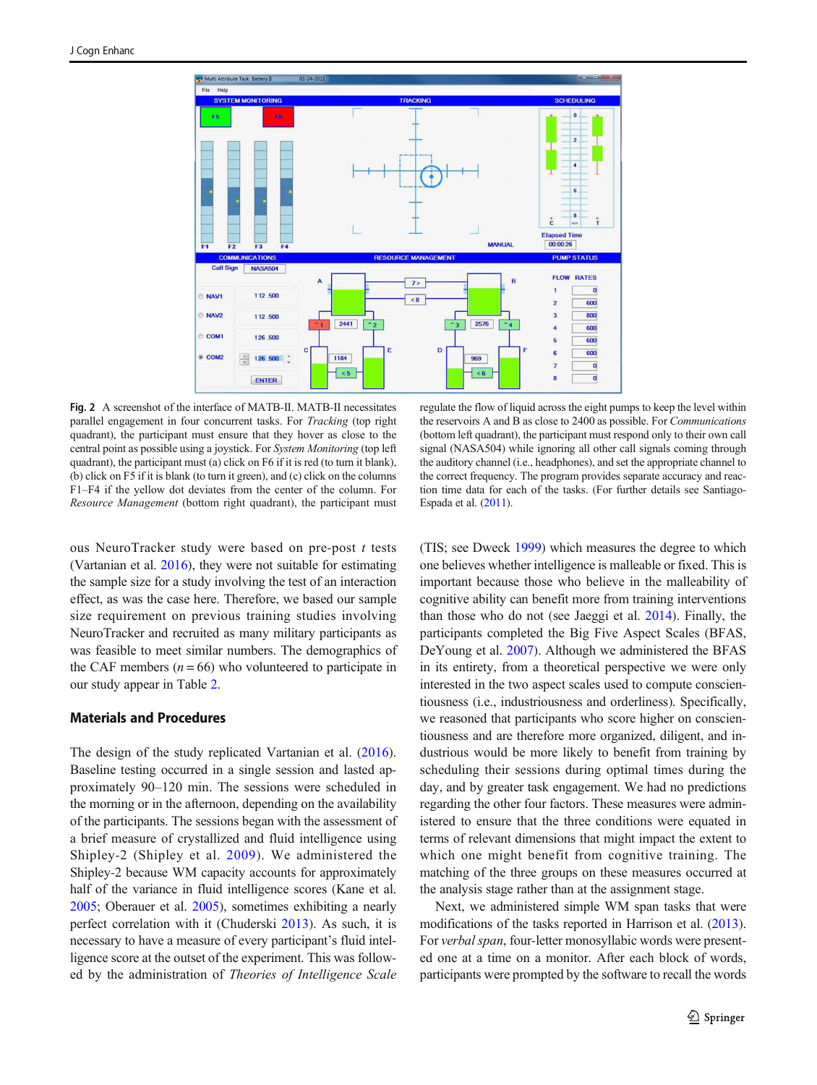<span id="page-8-0"></span>

Fig. 2 A screenshot of the interface of MATB-II. MATB-II necessitates parallel engagement in four concurrent tasks. For Tracking (top right quadrant), the participant must ensure that they hover as close to the central point as possible using a joystick. For System Monitoring (top left quadrant), the participant must (a) click on F6 if it is red (to turn it blank), (b) click on F5 if it is blank (to turn it green), and (c) click on the columns F1–F4 if the yellow dot deviates from the center of the column. For Resource Management (bottom right quadrant), the participant must

ous NeuroTracker study were based on pre-post t tests (Vartanian et al. [2016\)](#page-15-0), they were not suitable for estimating the sample size for a study involving the test of an interaction effect, as was the case here. Therefore, we based our sample size requirement on previous training studies involving NeuroTracker and recruited as many military participants as was feasible to meet similar numbers. The demographics of the CAF members ( $n = 66$ ) who volunteered to participate in our study appear in Table [2](#page-9-0).

## Materials and Procedures

The design of the study replicated Vartanian et al. ([2016](#page-15-0)). Baseline testing occurred in a single session and lasted approximately 90–120 min. The sessions were scheduled in the morning or in the afternoon, depending on the availability of the participants. The sessions began with the assessment of a brief measure of crystallized and fluid intelligence using Shipley-2 (Shipley et al. [2009\)](#page-15-0). We administered the Shipley-2 because WM capacity accounts for approximately half of the variance in fluid intelligence scores (Kane et al. [2005;](#page-15-0) Oberauer et al. [2005\)](#page-15-0), sometimes exhibiting a nearly perfect correlation with it (Chuderski [2013](#page-14-0)). As such, it is necessary to have a measure of every participant's fluid intelligence score at the outset of the experiment. This was followed by the administration of Theories of Intelligence Scale

regulate the flow of liquid across the eight pumps to keep the level within the reservoirs A and B as close to 2400 as possible. For Communications (bottom left quadrant), the participant must respond only to their own call signal (NASA504) while ignoring all other call signals coming through the auditory channel (i.e., headphones), and set the appropriate channel to the correct frequency. The program provides separate accuracy and reaction time data for each of the tasks. (For further details see Santiago-Espada et al. [\(2011](#page-15-0)).

(TIS; see Dweck [1999\)](#page-14-0) which measures the degree to which one believes whether intelligence is malleable or fixed. This is important because those who believe in the malleability of cognitive ability can benefit more from training interventions than those who do not (see Jaeggi et al. [2014](#page-15-0)). Finally, the participants completed the Big Five Aspect Scales (BFAS, DeYoung et al. [2007](#page-14-0)). Although we administered the BFAS in its entirety, from a theoretical perspective we were only interested in the two aspect scales used to compute conscientiousness (i.e., industriousness and orderliness). Specifically, we reasoned that participants who score higher on conscientiousness and are therefore more organized, diligent, and industrious would be more likely to benefit from training by scheduling their sessions during optimal times during the day, and by greater task engagement. We had no predictions regarding the other four factors. These measures were administered to ensure that the three conditions were equated in terms of relevant dimensions that might impact the extent to which one might benefit from cognitive training. The matching of the three groups on these measures occurred at the analysis stage rather than at the assignment stage.

Next, we administered simple WM span tasks that were modifications of the tasks reported in Harrison et al. [\(2013\)](#page-15-0). For verbal span, four-letter monosyllabic words were presented one at a time on a monitor. After each block of words, participants were prompted by the software to recall the words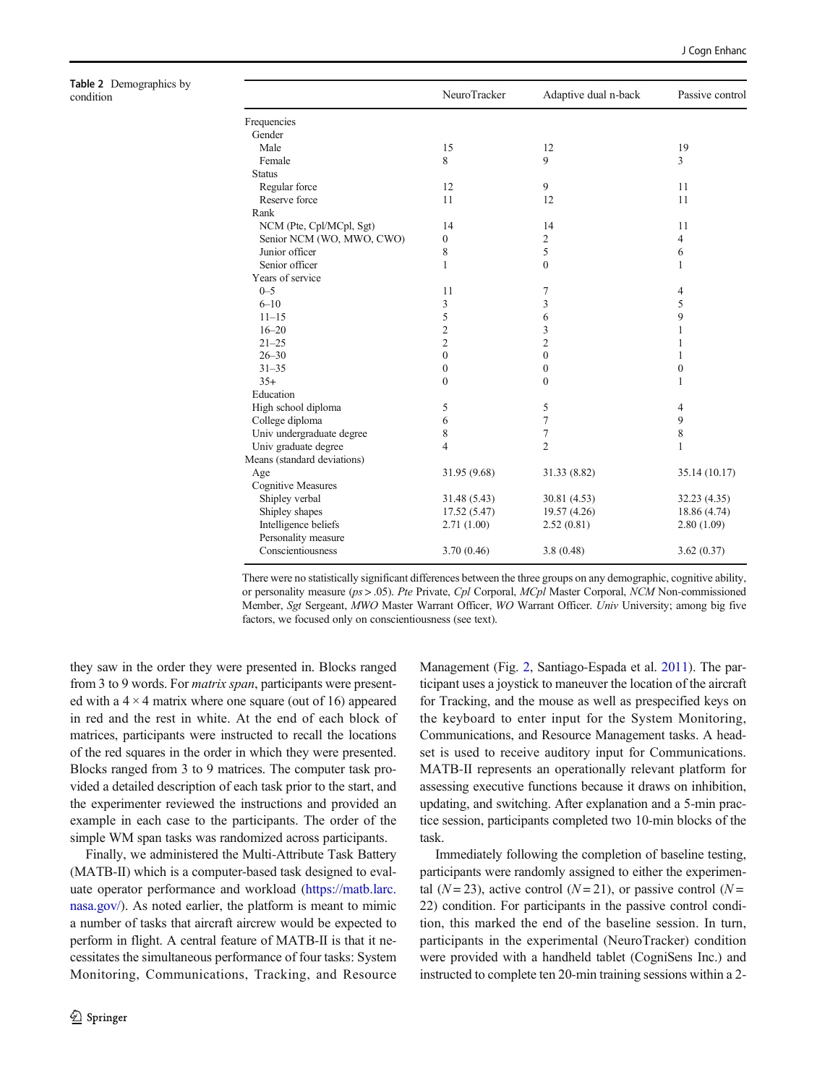<span id="page-9-0"></span>Table 2 Demographics by

| Table 2 Demographics by<br>condition |                             | NeuroTracker     | Adaptive dual n-back | Passive control  |
|--------------------------------------|-----------------------------|------------------|----------------------|------------------|
|                                      | Frequencies                 |                  |                      |                  |
|                                      | Gender                      |                  |                      |                  |
|                                      | Male                        | 15               | 12                   | 19               |
|                                      | Female                      | 8                | 9                    | 3                |
|                                      | <b>Status</b>               |                  |                      |                  |
|                                      | Regular force               | 12               | 9                    | 11               |
|                                      | Reserve force               | 11               | 12                   | 11               |
|                                      | Rank                        |                  |                      |                  |
|                                      | NCM (Pte, Cpl/MCpl, Sgt)    | 14               | 14                   | 11               |
|                                      | Senior NCM (WO, MWO, CWO)   | $\boldsymbol{0}$ | 2                    | 4                |
|                                      | Junior officer              | 8                | 5                    | 6                |
|                                      | Senior officer              | 1                | $\mathbf{0}$         | 1                |
|                                      | Years of service            |                  |                      |                  |
|                                      | $0 - 5$                     | 11               | 7                    | 4                |
|                                      | $6 - 10$                    | 3                | 3                    | 5                |
|                                      | $11 - 15$                   | 5                | 6                    | 9                |
|                                      | $16 - 20$                   | $\overline{c}$   | 3                    | 1                |
|                                      | $21 - 25$                   | $\overline{c}$   | 2                    | 1                |
|                                      | $26 - 30$                   | $\mathbf{0}$     | $\boldsymbol{0}$     | 1                |
|                                      | $31 - 35$                   | $\mathbf{0}$     | $\boldsymbol{0}$     | $\boldsymbol{0}$ |
|                                      | $35+$                       | $\theta$         | $\mathbf{0}$         | 1                |
|                                      | Education                   |                  |                      |                  |
|                                      | High school diploma         | 5                | 5                    | 4                |
|                                      | College diploma             | 6                | 7                    | 9                |
|                                      | Univ undergraduate degree   | 8                | 7                    | $\,$ 8 $\,$      |
|                                      | Univ graduate degree        | $\overline{4}$   | $\overline{2}$       | $\mathbf{1}$     |
|                                      | Means (standard deviations) |                  |                      |                  |
|                                      | Age                         | 31.95 (9.68)     | 31.33 (8.82)         | 35.14 (10.17)    |
|                                      | <b>Cognitive Measures</b>   |                  |                      |                  |
|                                      | Shipley verbal              | 31.48 (5.43)     | 30.81 (4.53)         | 32.23 (4.35)     |
|                                      | Shipley shapes              | 17.52(5.47)      | 19.57 (4.26)         | 18.86 (4.74)     |
|                                      | Intelligence beliefs        | 2.71(1.00)       | 2.52(0.81)           | 2.80(1.09)       |
|                                      | Personality measure         |                  |                      |                  |
|                                      | Conscientiousness           | 3.70 (0.46)      | 3.8(0.48)            | 3.62(0.37)       |

There were no statistically significant differences between the three groups on any demographic, cognitive ability, or personality measure (ps > .05). Pte Private, Cpl Corporal, MCpl Master Corporal, NCM Non-commissioned Member, Sgt Sergeant, MWO Master Warrant Officer, WO Warrant Officer. Univ University; among big five factors, we focused only on conscientiousness (see text).

they saw in the order they were presented in. Blocks ranged from 3 to 9 words. For *matrix span*, participants were presented with a  $4 \times 4$  matrix where one square (out of 16) appeared in red and the rest in white. At the end of each block of matrices, participants were instructed to recall the locations of the red squares in the order in which they were presented. Blocks ranged from 3 to 9 matrices. The computer task provided a detailed description of each task prior to the start, and the experimenter reviewed the instructions and provided an example in each case to the participants. The order of the simple WM span tasks was randomized across participants.

Finally, we administered the Multi-Attribute Task Battery (MATB-II) which is a computer-based task designed to evaluate operator performance and workload ([https://matb.larc.](https://matb.larc.nasa.gov/) [nasa.gov/\)](https://matb.larc.nasa.gov/). As noted earlier, the platform is meant to mimic a number of tasks that aircraft aircrew would be expected to perform in flight. A central feature of MATB-II is that it necessitates the simultaneous performance of four tasks: System Monitoring, Communications, Tracking, and Resource Management (Fig. [2](#page-8-0), Santiago-Espada et al. [2011\)](#page-15-0). The participant uses a joystick to maneuver the location of the aircraft for Tracking, and the mouse as well as prespecified keys on the keyboard to enter input for the System Monitoring, Communications, and Resource Management tasks. A headset is used to receive auditory input for Communications. MATB-II represents an operationally relevant platform for assessing executive functions because it draws on inhibition, updating, and switching. After explanation and a 5-min practice session, participants completed two 10-min blocks of the task.

Immediately following the completion of baseline testing, participants were randomly assigned to either the experimental ( $N = 23$ ), active control ( $N = 21$ ), or passive control ( $N =$ 22) condition. For participants in the passive control condition, this marked the end of the baseline session. In turn, participants in the experimental (NeuroTracker) condition were provided with a handheld tablet (CogniSens Inc.) and instructed to complete ten 20-min training sessions within a 2-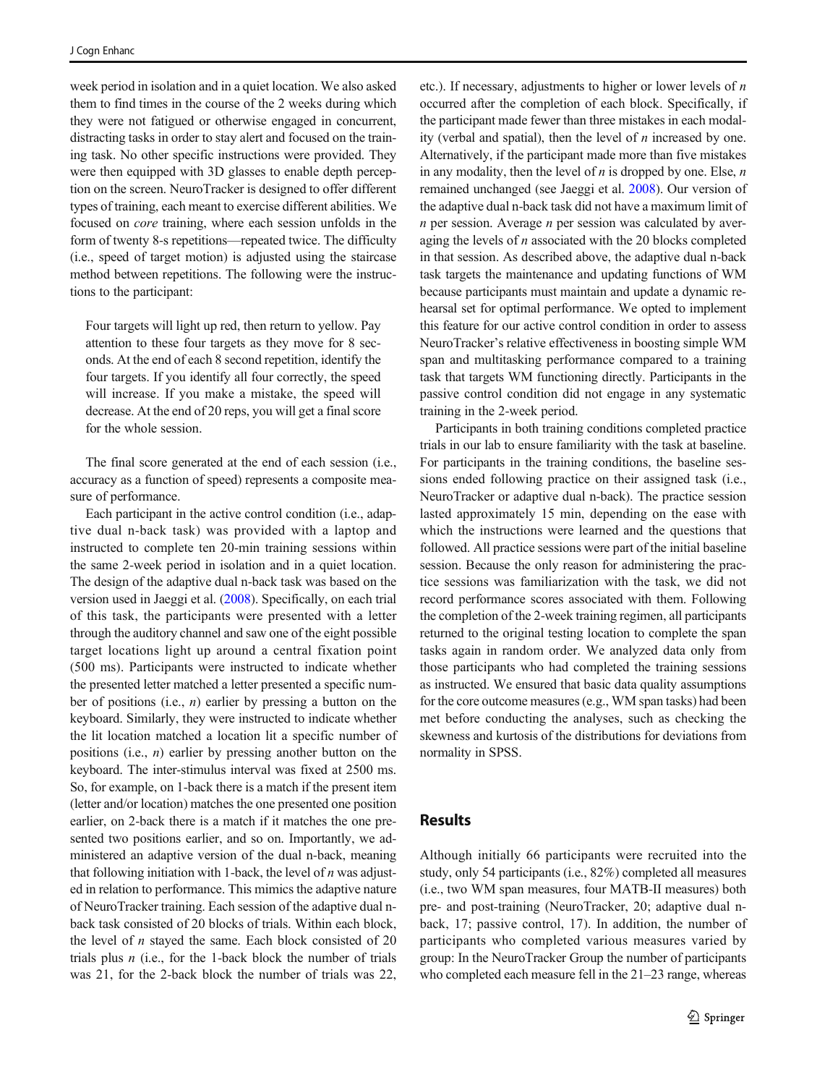week period in isolation and in a quiet location. We also asked them to find times in the course of the 2 weeks during which they were not fatigued or otherwise engaged in concurrent, distracting tasks in order to stay alert and focused on the training task. No other specific instructions were provided. They were then equipped with 3D glasses to enable depth perception on the screen. NeuroTracker is designed to offer different types of training, each meant to exercise different abilities. We focused on core training, where each session unfolds in the form of twenty 8-s repetitions—repeated twice. The difficulty (i.e., speed of target motion) is adjusted using the staircase method between repetitions. The following were the instructions to the participant:

Four targets will light up red, then return to yellow. Pay attention to these four targets as they move for 8 seconds. At the end of each 8 second repetition, identify the four targets. If you identify all four correctly, the speed will increase. If you make a mistake, the speed will decrease. At the end of 20 reps, you will get a final score for the whole session.

The final score generated at the end of each session (i.e., accuracy as a function of speed) represents a composite measure of performance.

Each participant in the active control condition (i.e., adaptive dual n-back task) was provided with a laptop and instructed to complete ten 20-min training sessions within the same 2-week period in isolation and in a quiet location. The design of the adaptive dual n-back task was based on the version used in Jaeggi et al. [\(2008\)](#page-15-0). Specifically, on each trial of this task, the participants were presented with a letter through the auditory channel and saw one of the eight possible target locations light up around a central fixation point (500 ms). Participants were instructed to indicate whether the presented letter matched a letter presented a specific number of positions (i.e.,  $n$ ) earlier by pressing a button on the keyboard. Similarly, they were instructed to indicate whether the lit location matched a location lit a specific number of positions (i.e.,  $n$ ) earlier by pressing another button on the keyboard. The inter-stimulus interval was fixed at 2500 ms. So, for example, on 1-back there is a match if the present item (letter and/or location) matches the one presented one position earlier, on 2-back there is a match if it matches the one presented two positions earlier, and so on. Importantly, we administered an adaptive version of the dual n-back, meaning that following initiation with 1-back, the level of  $n$  was adjusted in relation to performance. This mimics the adaptive nature of NeuroTracker training. Each session of the adaptive dual nback task consisted of 20 blocks of trials. Within each block, the level of  $n$  stayed the same. Each block consisted of 20 trials plus  $n$  (i.e., for the 1-back block the number of trials was 21, for the 2-back block the number of trials was 22,

etc.). If necessary, adjustments to higher or lower levels of  $n$ occurred after the completion of each block. Specifically, if the participant made fewer than three mistakes in each modality (verbal and spatial), then the level of  $n$  increased by one. Alternatively, if the participant made more than five mistakes in any modality, then the level of  $n$  is dropped by one. Else,  $n$ remained unchanged (see Jaeggi et al. [2008](#page-15-0)). Our version of the adaptive dual n-back task did not have a maximum limit of  $n$  per session. Average  $n$  per session was calculated by averaging the levels of  $n$  associated with the 20 blocks completed in that session. As described above, the adaptive dual n-back task targets the maintenance and updating functions of WM because participants must maintain and update a dynamic rehearsal set for optimal performance. We opted to implement this feature for our active control condition in order to assess NeuroTracker's relative effectiveness in boosting simple WM span and multitasking performance compared to a training task that targets WM functioning directly. Participants in the passive control condition did not engage in any systematic training in the 2-week period.

Participants in both training conditions completed practice trials in our lab to ensure familiarity with the task at baseline. For participants in the training conditions, the baseline sessions ended following practice on their assigned task (i.e., NeuroTracker or adaptive dual n-back). The practice session lasted approximately 15 min, depending on the ease with which the instructions were learned and the questions that followed. All practice sessions were part of the initial baseline session. Because the only reason for administering the practice sessions was familiarization with the task, we did not record performance scores associated with them. Following the completion of the 2-week training regimen, all participants returned to the original testing location to complete the span tasks again in random order. We analyzed data only from those participants who had completed the training sessions as instructed. We ensured that basic data quality assumptions for the core outcome measures (e.g., WM span tasks) had been met before conducting the analyses, such as checking the skewness and kurtosis of the distributions for deviations from normality in SPSS.

#### Results

Although initially 66 participants were recruited into the study, only 54 participants (i.e., 82%) completed all measures (i.e., two WM span measures, four MATB-II measures) both pre- and post-training (NeuroTracker, 20; adaptive dual nback, 17; passive control, 17). In addition, the number of participants who completed various measures varied by group: In the NeuroTracker Group the number of participants who completed each measure fell in the 21–23 range, whereas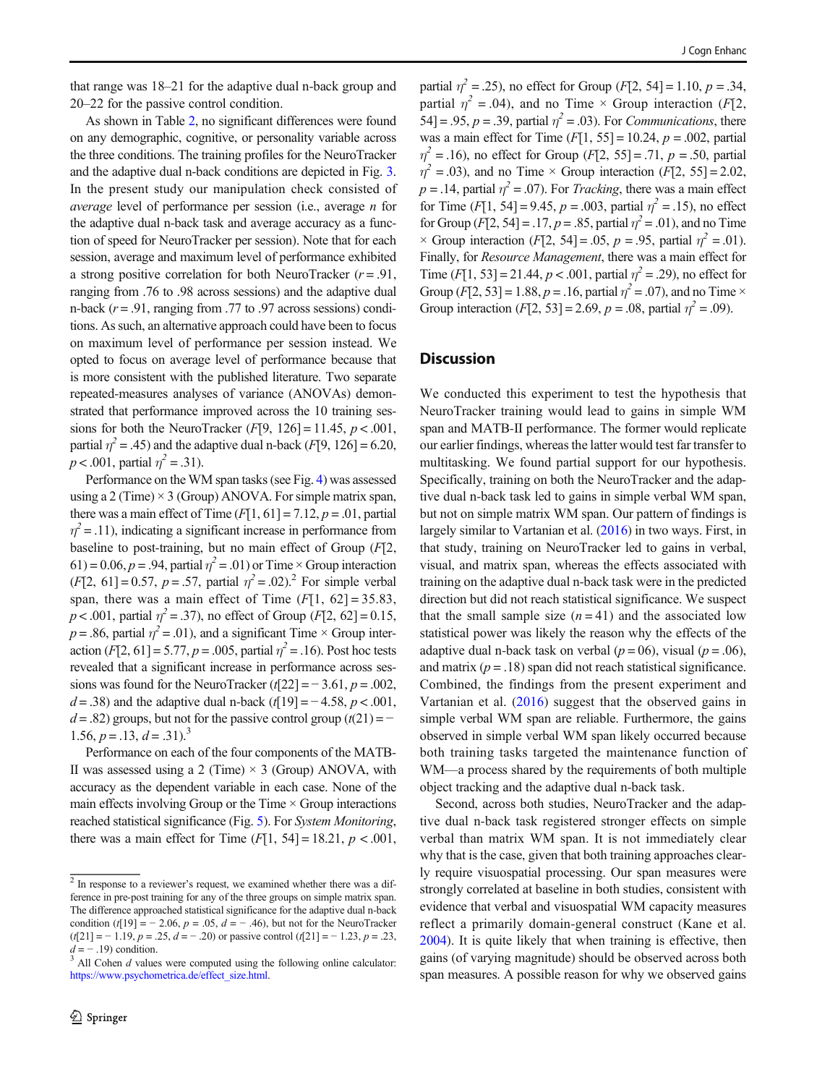that range was 18–21 for the adaptive dual n-back group and 20–22 for the passive control condition.

As shown in Table [2](#page-9-0), no significant differences were found on any demographic, cognitive, or personality variable across the three conditions. The training profiles for the NeuroTracker and the adaptive dual n-back conditions are depicted in Fig. [3.](#page-12-0) In the present study our manipulation check consisted of average level of performance per session (i.e., average n for the adaptive dual n-back task and average accuracy as a function of speed for NeuroTracker per session). Note that for each session, average and maximum level of performance exhibited a strong positive correlation for both NeuroTracker  $(r = .91, )$ ranging from .76 to .98 across sessions) and the adaptive dual n-back ( $r = .91$ , ranging from .77 to .97 across sessions) conditions. As such, an alternative approach could have been to focus on maximum level of performance per session instead. We opted to focus on average level of performance because that is more consistent with the published literature. Two separate repeated-measures analyses of variance (ANOVAs) demonstrated that performance improved across the 10 training sessions for both the NeuroTracker ( $F[9, 126] = 11.45$ ,  $p < .001$ , partial  $\eta^2 = .45$ ) and the adaptive dual n-back ( $F[9, 126] = 6.20$ ,  $p < .001$ , partial  $\eta^2 = .31$ ).

Performance on the WM span tasks (see Fig. [4](#page-12-0)) was assessed using a 2 (Time)  $\times$  3 (Group) ANOVA. For simple matrix span, there was a main effect of Time  $(F[1, 61] = 7.12, p = .01$ , partial  $\eta^2$  = .11), indicating a significant increase in performance from baseline to post-training, but no main effect of Group  $(F|2,$ 61) = 0.06,  $p = .94$ , partial  $\eta^2 = .01$ ) or Time × Group interaction  $(F[2, 61] = 0.57, p = .57,$  partial  $\eta^2 = .02$ ).<sup>2</sup> For simple verbal span, there was a main effect of Time  $(F[1, 62] = 35.83$ ,  $p < .001$ , partial  $\eta^2 = .37$ ), no effect of Group (F[2, 62] = 0.15,  $p = .86$ , partial  $\eta^2 = .01$ ), and a significant Time  $\times$  Group interaction  $(F[2, 61] = 5.77, p = .005$ , partial  $\eta^2 = .16$ ). Post hoc tests revealed that a significant increase in performance across sessions was found for the NeuroTracker ( $t[22] = -3.61$ ,  $p = .002$ , d = .38) and the adaptive dual n-back (t[19] =  $-4.58$ , p < .001,  $d = .82$ ) groups, but not for the passive control group  $(t(21) = -$ 1.56,  $p = .13$ ,  $d = .31$ .<sup>3</sup>

Performance on each of the four components of the MATB-II was assessed using a 2 (Time)  $\times$  3 (Group) ANOVA, with accuracy as the dependent variable in each case. None of the main effects involving Group or the Time  $\times$  Group interactions reached statistical significance (Fig. [5](#page-13-0)). For System Monitoring, there was a main effect for Time  $(F[1, 54] = 18.21, p < .001,$ 

partial  $\eta^2 = .25$ ), no effect for Group (F[2, 54] = 1.10,  $p = .34$ , partial  $\eta^2 = .04$ ), and no Time × Group interaction (F[2, 54] = .95,  $p = 0.39$ , partial  $\eta^2 = 0.03$ ). For *Communications*, there was a main effect for Time  $(F[1, 55] = 10.24, p = .002$ , partial  $\eta^2 = .16$ ), no effect for Group (*F*[2, 55] = .71, *p* = .50, partial  $\eta^2$  = .03), and no Time × Group interaction (F[2, 55] = 2.02,  $p = .14$ , partial  $\eta^2 = .07$ ). For *Tracking*, there was a main effect for Time  $(F[1, 54] = 9.45, p = .003$ , partial  $\eta^2 = .15$ ), no effect for Group  $(F[2, 54] = .17, p = .85$ , partial  $\eta^2 = .01$ ), and no Time  $\times$  Group interaction (F[2, 54] = .05, p = .95, partial  $\eta^2$  = .01). Finally, for Resource Management, there was a main effect for Time  $[F[1, 53] = 21.44, p < .001$ , partial  $\eta^2 = .29$ ), no effect for Group (*F*[2, 53] = 1.88, *p* = .16, partial  $\eta^2$  = .07), and no Time × Group interaction (F[2, 53] = 2.69,  $p = .08$ , partial  $\eta^2 = .09$ ).

# **Discussion**

We conducted this experiment to test the hypothesis that NeuroTracker training would lead to gains in simple WM span and MATB-II performance. The former would replicate our earlier findings, whereas the latter would test far transfer to multitasking. We found partial support for our hypothesis. Specifically, training on both the NeuroTracker and the adaptive dual n-back task led to gains in simple verbal WM span, but not on simple matrix WM span. Our pattern of findings is largely similar to Vartanian et al. [\(2016\)](#page-15-0) in two ways. First, in that study, training on NeuroTracker led to gains in verbal, visual, and matrix span, whereas the effects associated with training on the adaptive dual n-back task were in the predicted direction but did not reach statistical significance. We suspect that the small sample size  $(n = 41)$  and the associated low statistical power was likely the reason why the effects of the adaptive dual n-back task on verbal ( $p = 06$ ), visual ( $p = .06$ ), and matrix  $(p = .18)$  span did not reach statistical significance. Combined, the findings from the present experiment and Vartanian et al. ([2016\)](#page-15-0) suggest that the observed gains in simple verbal WM span are reliable. Furthermore, the gains observed in simple verbal WM span likely occurred because both training tasks targeted the maintenance function of WM—a process shared by the requirements of both multiple object tracking and the adaptive dual n-back task.

Second, across both studies, NeuroTracker and the adaptive dual n-back task registered stronger effects on simple verbal than matrix WM span. It is not immediately clear why that is the case, given that both training approaches clearly require visuospatial processing. Our span measures were strongly correlated at baseline in both studies, consistent with evidence that verbal and visuospatial WM capacity measures reflect a primarily domain-general construct (Kane et al. [2004\)](#page-15-0). It is quite likely that when training is effective, then gains (of varying magnitude) should be observed across both span measures. A possible reason for why we observed gains

<sup>&</sup>lt;sup>2</sup> In response to a reviewer's request, we examined whether there was a difference in pre-post training for any of the three groups on simple matrix span. The difference approached statistical significance for the adaptive dual n-back condition (t[19] =  $-$  2.06, p = .05, d =  $-$  .46), but not for the NeuroTracker  $(t[21] = -1.19, p = .25, d = -.20)$  or passive control  $(t[21] = -1.23, p = .23,$  $d = -0.19$  condition.

 $3$  All Cohen  $d$  values were computed using the following online calculator: [https://www.psychometrica.de/effect\\_size.html](https://www.psychometrica.de/effect_size.html).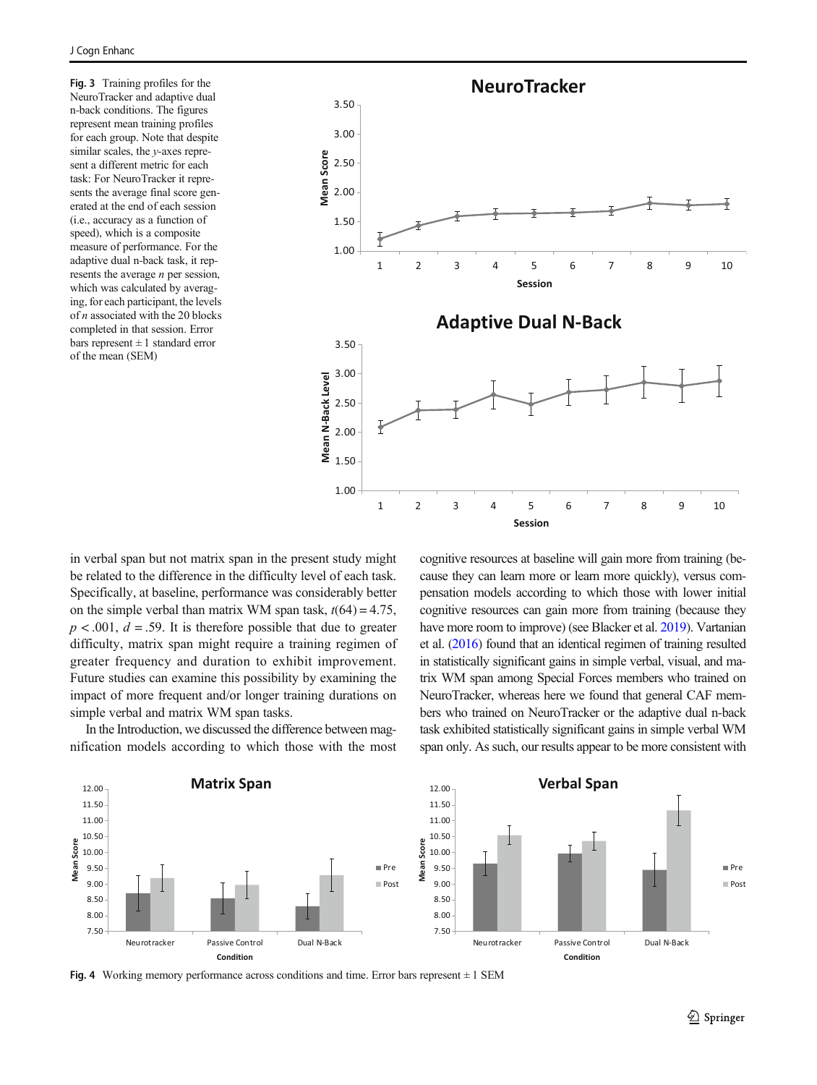<span id="page-12-0"></span>Fig. 3 Training profiles for the NeuroTracker and adaptive dual n-back conditions. The figures represent mean training profiles for each group. Note that despite similar scales, the y-axes represent a different metric for each task: For NeuroTracker it represents the average final score generated at the end of each session (i.e., accuracy as a function of speed), which is a composite measure of performance. For the adaptive dual n-back task, it represents the average *n* per session, which was calculated by averaging, for each participant, the levels of  $n$  associated with the 20 blocks completed in that session. Error bars represent  $\pm 1$  standard error of the mean (SEM)



in verbal span but not matrix span in the present study might be related to the difference in the difficulty level of each task. Specifically, at baseline, performance was considerably better on the simple verbal than matrix WM span task,  $t(64) = 4.75$ ,  $p < .001$ ,  $d = .59$ . It is therefore possible that due to greater difficulty, matrix span might require a training regimen of greater frequency and duration to exhibit improvement. Future studies can examine this possibility by examining the impact of more frequent and/or longer training durations on simple verbal and matrix WM span tasks.

In the Introduction, we discussed the difference between magnification models according to which those with the most cognitive resources at baseline will gain more from training (because they can learn more or learn more quickly), versus compensation models according to which those with lower initial cognitive resources can gain more from training (because they have more room to improve) (see Blacker et al. [2019](#page-14-0)). Vartanian et al. [\(2016\)](#page-15-0) found that an identical regimen of training resulted in statistically significant gains in simple verbal, visual, and matrix WM span among Special Forces members who trained on NeuroTracker, whereas here we found that general CAF members who trained on NeuroTracker or the adaptive dual n-back task exhibited statistically significant gains in simple verbal WM span only. As such, our results appear to be more consistent with



Fig. 4 Working memory performance across conditions and time. Error bars represent  $\pm$  1 SEM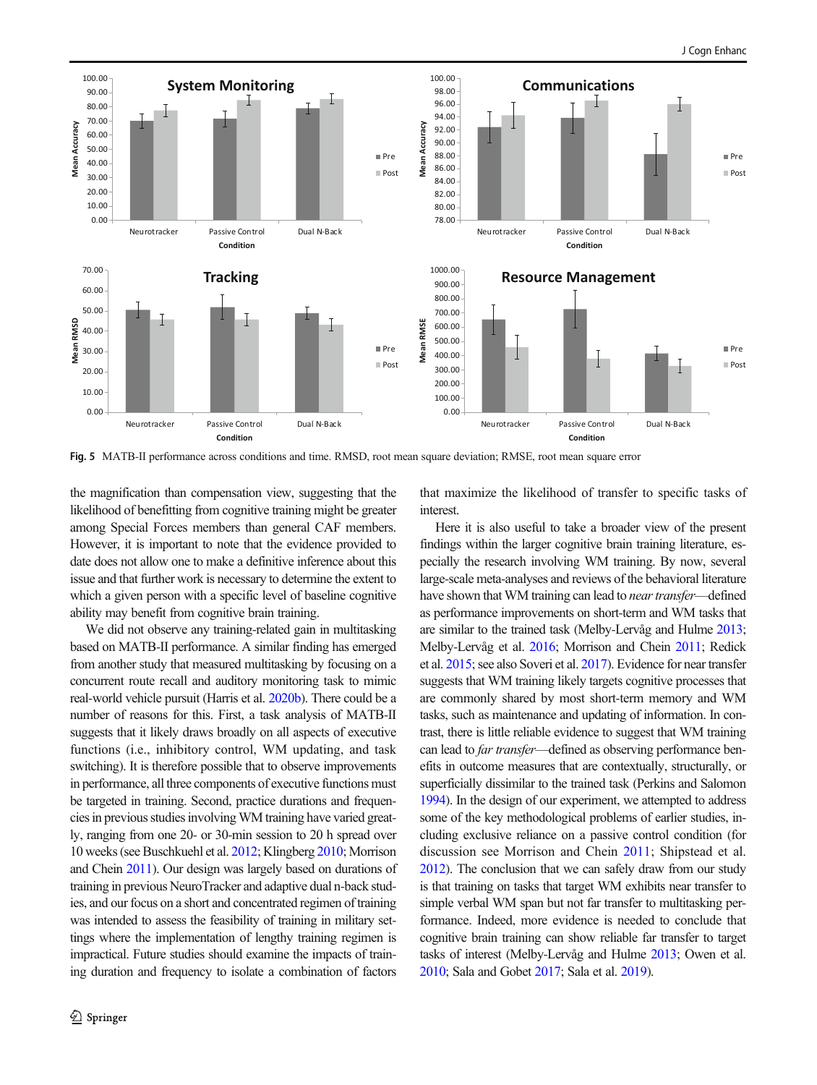<span id="page-13-0"></span>

Fig. 5 MATB-II performance across conditions and time. RMSD, root mean square deviation; RMSE, root mean square error

the magnification than compensation view, suggesting that the likelihood of benefitting from cognitive training might be greater among Special Forces members than general CAF members. However, it is important to note that the evidence provided to date does not allow one to make a definitive inference about this issue and that further work is necessary to determine the extent to which a given person with a specific level of baseline cognitive ability may benefit from cognitive brain training.

We did not observe any training-related gain in multitasking based on MATB-II performance. A similar finding has emerged from another study that measured multitasking by focusing on a concurrent route recall and auditory monitoring task to mimic real-world vehicle pursuit (Harris et al. [2020b](#page-14-0)). There could be a number of reasons for this. First, a task analysis of MATB-II suggests that it likely draws broadly on all aspects of executive functions (i.e., inhibitory control, WM updating, and task switching). It is therefore possible that to observe improvements in performance, all three components of executive functions must be targeted in training. Second, practice durations and frequencies in previous studies involvingWM training have varied greatly, ranging from one 20- or 30-min session to 20 h spread over 10 weeks (see Buschkuehl et al. [2012;](#page-14-0) Klingberg [2010](#page-15-0); Morrison and Chein [2011](#page-15-0)). Our design was largely based on durations of training in previous NeuroTracker and adaptive dual n-back studies, and our focus on a short and concentrated regimen of training was intended to assess the feasibility of training in military settings where the implementation of lengthy training regimen is impractical. Future studies should examine the impacts of training duration and frequency to isolate a combination of factors

that maximize the likelihood of transfer to specific tasks of interest.

Here it is also useful to take a broader view of the present findings within the larger cognitive brain training literature, especially the research involving WM training. By now, several large-scale meta-analyses and reviews of the behavioral literature have shown that WM training can lead to *near transfer*—defined as performance improvements on short-term and WM tasks that are similar to the trained task (Melby-Lervåg and Hulme [2013;](#page-15-0) Melby-Lervåg et al. [2016](#page-15-0); Morrison and Chein [2011](#page-15-0); Redick et al. [2015](#page-15-0); see also Soveri et al. [2017\)](#page-15-0). Evidence for near transfer suggests that WM training likely targets cognitive processes that are commonly shared by most short-term memory and WM tasks, such as maintenance and updating of information. In contrast, there is little reliable evidence to suggest that WM training can lead to far transfer—defined as observing performance benefits in outcome measures that are contextually, structurally, or superficially dissimilar to the trained task (Perkins and Salomon [1994\)](#page-15-0). In the design of our experiment, we attempted to address some of the key methodological problems of earlier studies, including exclusive reliance on a passive control condition (for discussion see Morrison and Chein [2011;](#page-15-0) Shipstead et al. [2012\)](#page-15-0). The conclusion that we can safely draw from our study is that training on tasks that target WM exhibits near transfer to simple verbal WM span but not far transfer to multitasking performance. Indeed, more evidence is needed to conclude that cognitive brain training can show reliable far transfer to target tasks of interest (Melby-Lervåg and Hulme [2013](#page-15-0); Owen et al. [2010;](#page-15-0) Sala and Gobet [2017;](#page-15-0) Sala et al. [2019\)](#page-15-0).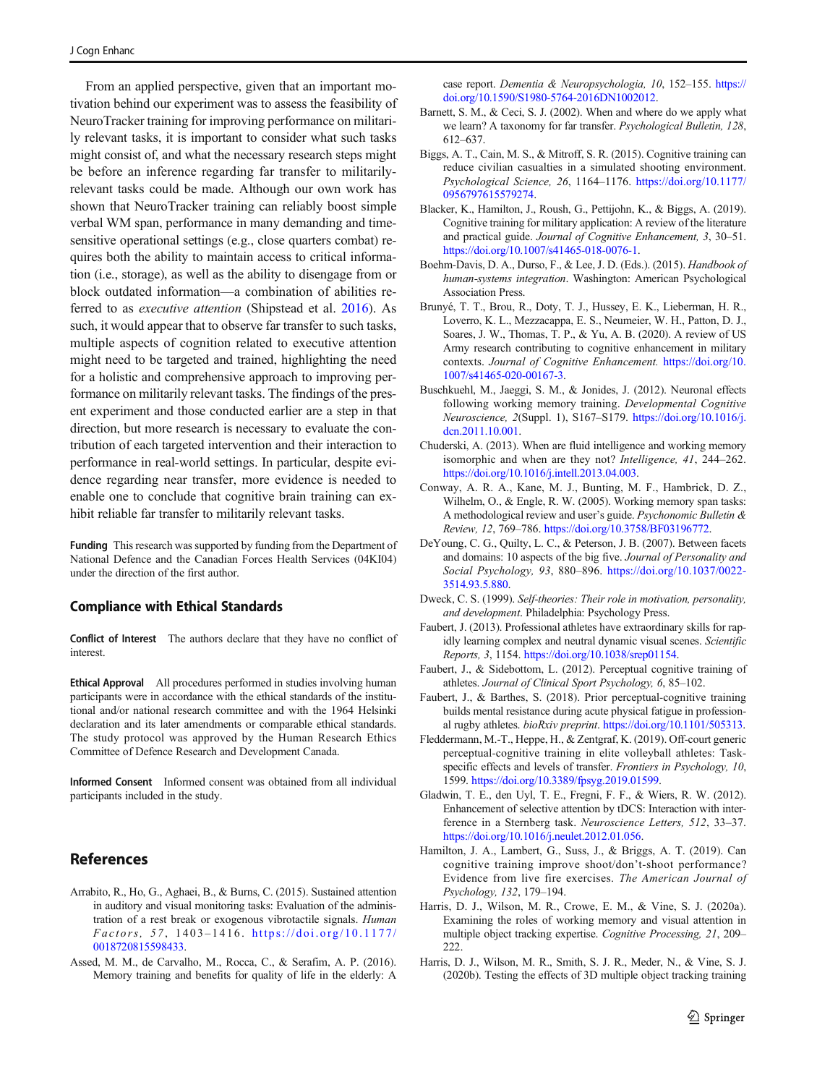<span id="page-14-0"></span>From an applied perspective, given that an important motivation behind our experiment was to assess the feasibility of NeuroTracker training for improving performance on militarily relevant tasks, it is important to consider what such tasks might consist of, and what the necessary research steps might be before an inference regarding far transfer to militarilyrelevant tasks could be made. Although our own work has shown that NeuroTracker training can reliably boost simple verbal WM span, performance in many demanding and timesensitive operational settings (e.g., close quarters combat) requires both the ability to maintain access to critical information (i.e., storage), as well as the ability to disengage from or block outdated information—a combination of abilities referred to as executive attention (Shipstead et al. [2016\)](#page-15-0). As such, it would appear that to observe far transfer to such tasks, multiple aspects of cognition related to executive attention might need to be targeted and trained, highlighting the need for a holistic and comprehensive approach to improving performance on militarily relevant tasks. The findings of the present experiment and those conducted earlier are a step in that direction, but more research is necessary to evaluate the contribution of each targeted intervention and their interaction to performance in real-world settings. In particular, despite evidence regarding near transfer, more evidence is needed to enable one to conclude that cognitive brain training can exhibit reliable far transfer to militarily relevant tasks.

Funding This research was supported by funding from the Department of National Defence and the Canadian Forces Health Services (04KI04) under the direction of the first author.

#### Compliance with Ethical Standards

Conflict of Interest The authors declare that they have no conflict of interest.

Ethical Approval All procedures performed in studies involving human participants were in accordance with the ethical standards of the institutional and/or national research committee and with the 1964 Helsinki declaration and its later amendments or comparable ethical standards. The study protocol was approved by the Human Research Ethics Committee of Defence Research and Development Canada.

Informed Consent Informed consent was obtained from all individual participants included in the study.

# **References**

- Arrabito, R., Ho, G., Aghaei, B., & Burns, C. (2015). Sustained attention in auditory and visual monitoring tasks: Evaluation of the administration of a rest break or exogenous vibrotactile signals. Human Factors, 57 , 1403 – 1416. [https://doi.org/10.1177/](https://doi.org/10.1177/0018720815598433) [0018720815598433](https://doi.org/10.1177/0018720815598433).
- Assed, M. M., de Carvalho, M., Rocca, C., & Serafim, A. P. (2016). Memory training and benefits for quality of life in the elderly: A

case report. Dementia & Neuropsychologia, 10, 152–155. [https://](https://doi.org/10.1590/S1980-5764-2016DN1002012) [doi.org/10.1590/S1980-5764-2016DN1002012](https://doi.org/10.1590/S1980-5764-2016DN1002012).

- Barnett, S. M., & Ceci, S. J. (2002). When and where do we apply what we learn? A taxonomy for far transfer. Psychological Bulletin, 128, 612–637.
- Biggs, A. T., Cain, M. S., & Mitroff, S. R. (2015). Cognitive training can reduce civilian casualties in a simulated shooting environment. Psychological Science, 26, 1164–1176. [https://doi.org/10.1177/](https://doi.org/10.1177/0956797615579274) [0956797615579274](https://doi.org/10.1177/0956797615579274).
- Blacker, K., Hamilton, J., Roush, G., Pettijohn, K., & Biggs, A. (2019). Cognitive training for military application: A review of the literature and practical guide. Journal of Cognitive Enhancement, 3, 30–51. [https://doi.org/10.1007/s41465-018-0076-1.](https://doi.org/10.1007/s41465-018-0076-1)
- Boehm-Davis, D. A., Durso, F., & Lee, J. D. (Eds.). (2015). Handbook of human-systems integration. Washington: American Psychological Association Press.
- Brunyé, T. T., Brou, R., Doty, T. J., Hussey, E. K., Lieberman, H. R., Loverro, K. L., Mezzacappa, E. S., Neumeier, W. H., Patton, D. J., Soares, J. W., Thomas, T. P., & Yu, A. B. (2020). A review of US Army research contributing to cognitive enhancement in military contexts. Journal of Cognitive Enhancement. [https://doi.org/10.](https://doi.org/10.1007/s41465-020-00167-3) [1007/s41465-020-00167-3.](https://doi.org/10.1007/s41465-020-00167-3)
- Buschkuehl, M., Jaeggi, S. M., & Jonides, J. (2012). Neuronal effects following working memory training. Developmental Cognitive Neuroscience, 2(Suppl. 1), S167–S179. [https://doi.org/10.1016/j.](https://doi.org/10.1016/j.dcn.2011.10.001) [dcn.2011.10.001](https://doi.org/10.1016/j.dcn.2011.10.001).
- Chuderski, A. (2013). When are fluid intelligence and working memory isomorphic and when are they not? Intelligence, 41, 244–262. <https://doi.org/10.1016/j.intell.2013.04.003>.
- Conway, A. R. A., Kane, M. J., Bunting, M. F., Hambrick, D. Z., Wilhelm, O., & Engle, R. W. (2005). Working memory span tasks: A methodological review and user's guide. Psychonomic Bulletin & Review, 12, 769–786. [https://doi.org/10.3758/BF03196772.](https://doi.org/10.3758/BF03196772)
- DeYoung, C. G., Quilty, L. C., & Peterson, J. B. (2007). Between facets and domains: 10 aspects of the big five. Journal of Personality and Social Psychology, 93, 880–896. [https://doi.org/10.1037/0022-](https://doi.org/10.1037/0022-3514.93.5.880) [3514.93.5.880](https://doi.org/10.1037/0022-3514.93.5.880).
- Dweck, C. S. (1999). Self-theories: Their role in motivation, personality, and development. Philadelphia: Psychology Press.
- Faubert, J. (2013). Professional athletes have extraordinary skills for rapidly learning complex and neutral dynamic visual scenes. Scientific Reports, 3, 1154. <https://doi.org/10.1038/srep01154>.
- Faubert, J., & Sidebottom, L. (2012). Perceptual cognitive training of athletes. Journal of Clinical Sport Psychology, 6, 85–102.
- Faubert, J., & Barthes, S. (2018). Prior perceptual-cognitive training builds mental resistance during acute physical fatigue in professional rugby athletes. bioRxiv preprint. [https://doi.org/10.1101/505313.](https://doi.org/10.1101/505313)
- Fleddermann, M.-T., Heppe, H., & Zentgraf, K. (2019). Off-court generic perceptual-cognitive training in elite volleyball athletes: Taskspecific effects and levels of transfer. Frontiers in Psychology, 10, 1599. <https://doi.org/10.3389/fpsyg.2019.01599>.
- Gladwin, T. E., den Uyl, T. E., Fregni, F. F., & Wiers, R. W. (2012). Enhancement of selective attention by tDCS: Interaction with interference in a Sternberg task. Neuroscience Letters, 512, 33–37. <https://doi.org/10.1016/j.neulet.2012.01.056>.
- Hamilton, J. A., Lambert, G., Suss, J., & Briggs, A. T. (2019). Can cognitive training improve shoot/don't-shoot performance? Evidence from live fire exercises. The American Journal of Psychology, 132, 179–194.
- Harris, D. J., Wilson, M. R., Crowe, E. M., & Vine, S. J. (2020a). Examining the roles of working memory and visual attention in multiple object tracking expertise. Cognitive Processing, 21, 209– 222.
- Harris, D. J., Wilson, M. R., Smith, S. J. R., Meder, N., & Vine, S. J. (2020b). Testing the effects of 3D multiple object tracking training